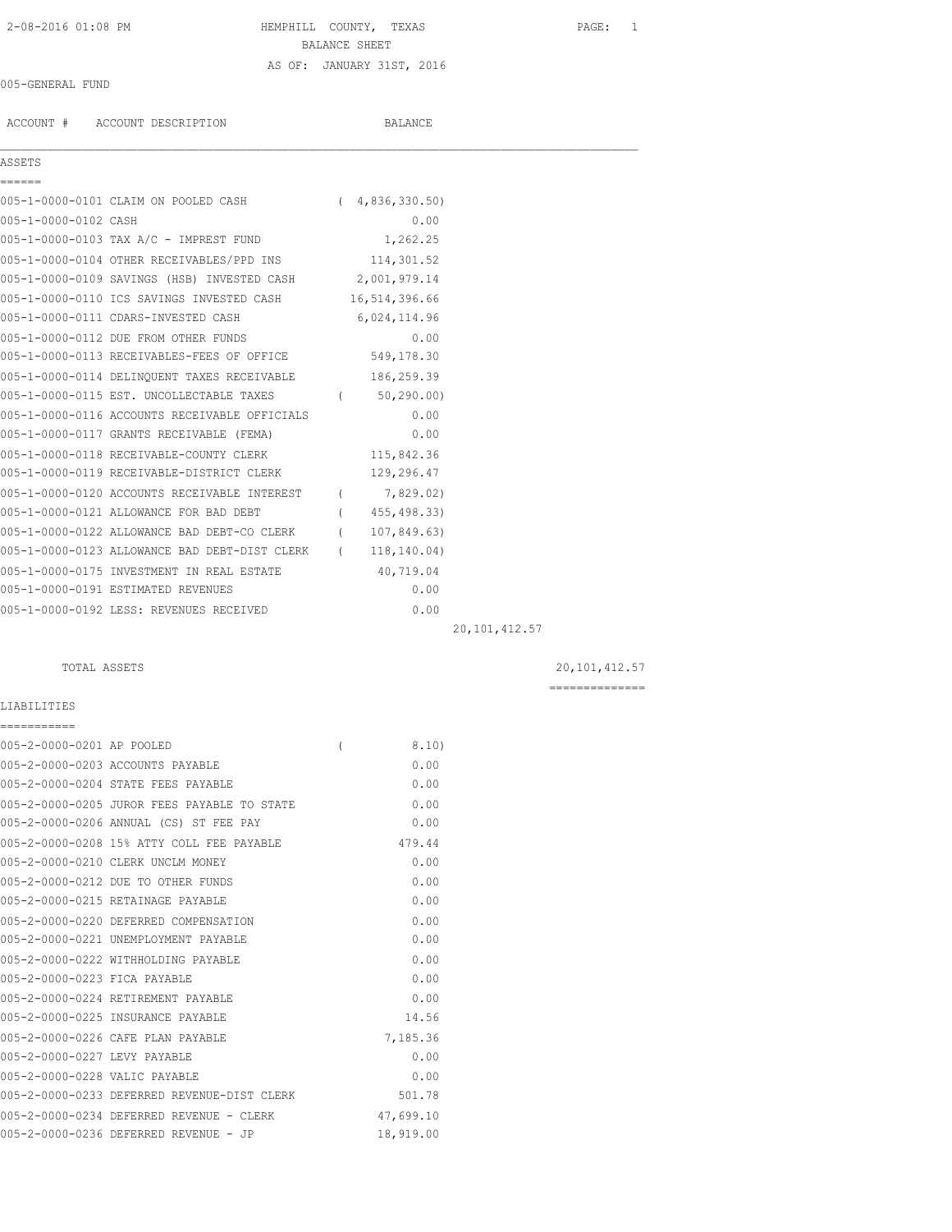# 2-08-2016 01:08 PM HEMPHILL COUNTY, TEXAS PAGE: 1 BALANCE SHEET AS OF: JANUARY 31ST, 2016

## 005-GENERAL FUND

ACCOUNT # ACCOUNT DESCRIPTION BALANCE

ASSETS

 $\mathcal{L}_\mathcal{L} = \mathcal{L}_\mathcal{L}$ 

|                      | 005-1-0000-0101 CLAIM ON POOLED CASH             | 4,836,330.50) |
|----------------------|--------------------------------------------------|---------------|
| 005-1-0000-0102 CASH |                                                  | 0.00          |
|                      | 005-1-0000-0103 TAX A/C - IMPREST FUND           | 1,262.25      |
|                      | 005-1-0000-0104 OTHER RECEIVABLES/PPD INS        | 114,301.52    |
|                      | 005-1-0000-0109 SAVINGS (HSB) INVESTED CASH      | 2,001,979.14  |
|                      | 005-1-0000-0110 ICS SAVINGS INVESTED CASH        | 16,514,396.66 |
|                      | 005-1-0000-0111 CDARS-INVESTED CASH              | 6,024,114.96  |
|                      | $0.05 - 1 - 0.000 - 0.112$ Tile ream offer rinne | n nn          |

| 005-1-0000-0111 CDARS-INVESTED CASH           |                | 6,024,114.96 |  |
|-----------------------------------------------|----------------|--------------|--|
| 005-1-0000-0112 DUE FROM OTHER FUNDS          |                | 0.00         |  |
| 005-1-0000-0113 RECEIVABLES-FEES OF OFFICE    |                | 549,178.30   |  |
| 005-1-0000-0114 DELINQUENT TAXES RECEIVABLE   |                | 186,259.39   |  |
| 005-1-0000-0115 EST. UNCOLLECTABLE TAXES      | $\overline{(}$ | 50, 290, 00  |  |
| 005-1-0000-0116 ACCOUNTS RECEIVABLE OFFICIALS |                | 0.00         |  |
| 005-1-0000-0117 GRANTS RECEIVABLE (FEMA)      |                | 0.00         |  |
| 005-1-0000-0118 RECEIVABLE-COUNTY CLERK       |                | 115,842.36   |  |
| 005-1-0000-0119 RECEIVABLE-DISTRICT CLERK     |                | 129,296.47   |  |
| 005-1-0000-0120 ACCOUNTS RECEIVABLE INTEREST  | $\overline{(}$ | 7,829.02)    |  |
| 005-1-0000-0121 ALLOWANCE FOR BAD DEBT        |                | 455, 498.33) |  |
| 005-1-0000-0122 ALLOWANCE BAD DEBT-CO CLERK   |                | 107,849.63)  |  |
| 005-1-0000-0123 ALLOWANCE BAD DEBT-DIST CLERK |                | 118,140.04)  |  |
| 005-1-0000-0175 INVESTMENT IN REAL ESTATE     |                | 40,719.04    |  |
| 005-1-0000-0191 ESTIMATED REVENUES            |                | 0.00         |  |
| 005-1-0000-0192 LESS: REVENUES RECEIVED       |                | 0.00         |  |

20,101,412.57

## TOTAL ASSETS 20,101,412.57

==============

# LIABILITIES

| ===========                   |                                             |          |           |
|-------------------------------|---------------------------------------------|----------|-----------|
| 005-2-0000-0201 AP POOLED     |                                             | $\left($ | 8.10)     |
|                               | 005-2-0000-0203 ACCOUNTS PAYABLE            |          | 0.00      |
|                               | 005-2-0000-0204 STATE FEES PAYABLE          |          | 0.00      |
|                               | 005-2-0000-0205 JUROR FEES PAYABLE TO STATE |          | 0.00      |
|                               | 005-2-0000-0206 ANNUAL (CS) ST FEE PAY      |          | 0.00      |
|                               | 005-2-0000-0208 15% ATTY COLL FEE PAYABLE   |          | 479.44    |
|                               | 005-2-0000-0210 CLERK UNCLM MONEY           |          | 0.00      |
|                               | 005-2-0000-0212 DUE TO OTHER FUNDS          |          | 0.00      |
|                               | 005-2-0000-0215 RETAINAGE PAYABLE           |          | 0.00      |
|                               | 005-2-0000-0220 DEFERRED COMPENSATION       |          | 0.00      |
|                               | 005-2-0000-0221 UNEMPLOYMENT PAYABLE        |          | 0.00      |
|                               | 005-2-0000-0222 WITHHOLDING PAYABLE         |          | 0.00      |
| 005-2-0000-0223 FICA PAYABLE  |                                             |          | 0.00      |
|                               | 005-2-0000-0224 RETIREMENT PAYABLE          |          | 0.00      |
|                               | 005-2-0000-0225 INSURANCE PAYABLE           |          | 14.56     |
|                               | 005-2-0000-0226 CAFE PLAN PAYABLE           |          | 7,185.36  |
| 005-2-0000-0227 LEVY PAYABLE  |                                             |          | 0.00      |
| 005-2-0000-0228 VALIC PAYABLE |                                             |          | 0.00      |
|                               | 005-2-0000-0233 DEFERRED REVENUE-DIST CLERK |          | 501.78    |
|                               | 005-2-0000-0234 DEFERRED REVENUE - CLERK    |          | 47,699.10 |
|                               | 005-2-0000-0236 DEFERRED REVENUE - JP       |          | 18,919.00 |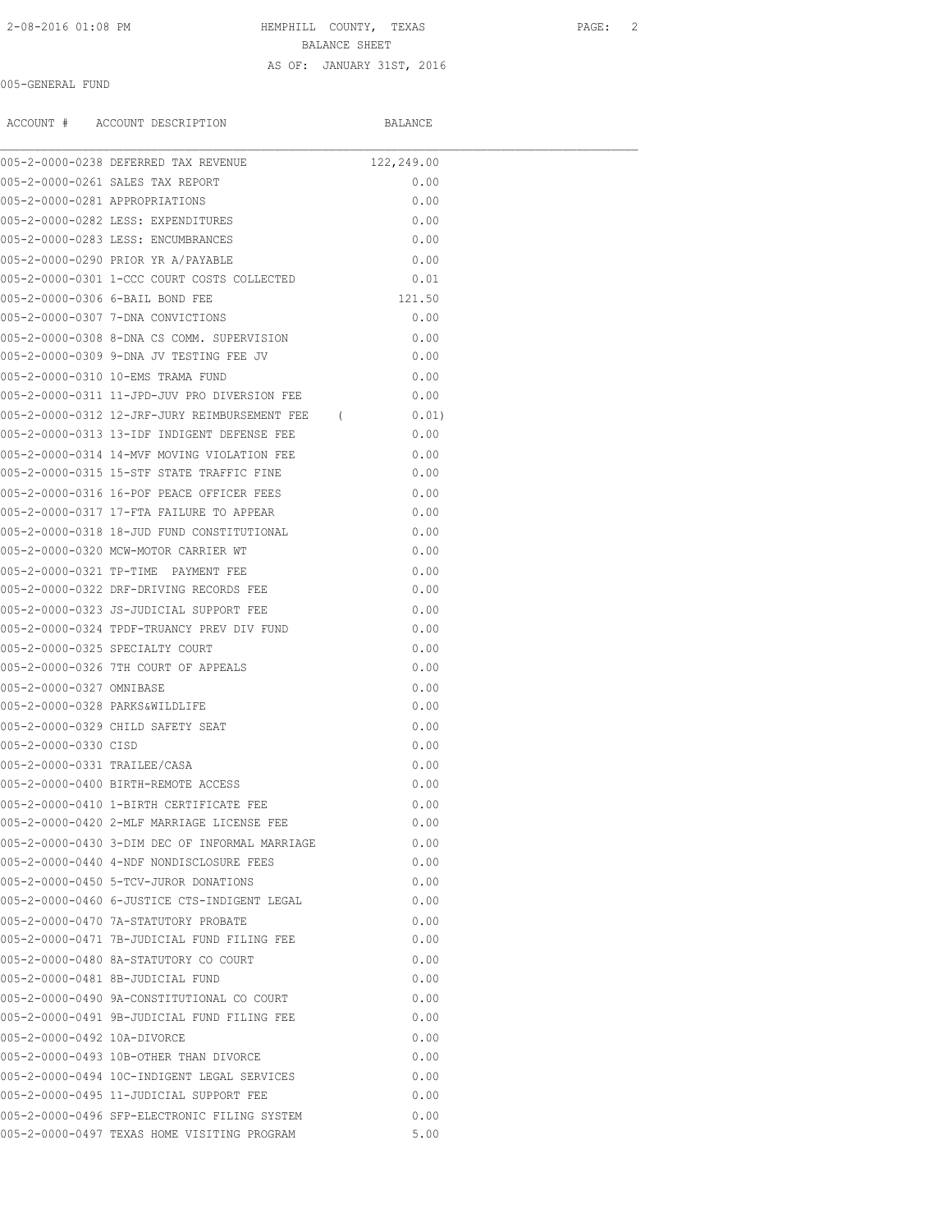# 2-08-2016 01:08 PM HEMPHILL COUNTY, TEXAS PAGE: 2 BALANCE SHEET AS OF: JANUARY 31ST, 2016

005-GENERAL FUND

ACCOUNT # ACCOUNT DESCRIPTION BALANCE

|                                | 005-2-0000-0238 DEFERRED TAX REVENUE            | 122,249.00 |  |  |
|--------------------------------|-------------------------------------------------|------------|--|--|
|                                | 005-2-0000-0261 SALES TAX REPORT                | 0.00       |  |  |
| 005-2-0000-0281 APPROPRIATIONS |                                                 | 0.00       |  |  |
|                                | 005-2-0000-0282 LESS: EXPENDITURES              | 0.00       |  |  |
|                                | 005-2-0000-0283 LESS: ENCUMBRANCES              | 0.00       |  |  |
|                                | 005-2-0000-0290 PRIOR YR A/PAYABLE              | 0.00       |  |  |
|                                | 005-2-0000-0301 1-CCC COURT COSTS COLLECTED     | 0.01       |  |  |
|                                | 005-2-0000-0306 6-BAIL BOND FEE                 | 121.50     |  |  |
|                                | 005-2-0000-0307 7-DNA CONVICTIONS               | 0.00       |  |  |
|                                | 005-2-0000-0308 8-DNA CS COMM. SUPERVISION      | 0.00       |  |  |
|                                | 005-2-0000-0309 9-DNA JV TESTING FEE JV         | 0.00       |  |  |
|                                | 005-2-0000-0310 10-EMS TRAMA FUND               | 0.00       |  |  |
|                                | 005-2-0000-0311 11-JPD-JUV PRO DIVERSION FEE    | 0.00       |  |  |
|                                | 005-2-0000-0312 12-JRF-JURY REIMBURSEMENT FEE ( | 0.01)      |  |  |
|                                | 005-2-0000-0313 13-IDF INDIGENT DEFENSE FEE     | 0.00       |  |  |
|                                | 005-2-0000-0314 14-MVF MOVING VIOLATION FEE     | 0.00       |  |  |
|                                | 005-2-0000-0315 15-STF STATE TRAFFIC FINE       | 0.00       |  |  |
|                                | 005-2-0000-0316 16-POF PEACE OFFICER FEES       | 0.00       |  |  |
|                                | 005-2-0000-0317 17-FTA FAILURE TO APPEAR        | 0.00       |  |  |
|                                | 005-2-0000-0318 18-JUD FUND CONSTITUTIONAL      | 0.00       |  |  |
|                                | 005-2-0000-0320 MCW-MOTOR CARRIER WT            | 0.00       |  |  |
|                                | 005-2-0000-0321 TP-TIME PAYMENT FEE             | 0.00       |  |  |
|                                | 005-2-0000-0322 DRF-DRIVING RECORDS FEE         | 0.00       |  |  |
|                                | 005-2-0000-0323 JS-JUDICIAL SUPPORT FEE         | 0.00       |  |  |
|                                | 005-2-0000-0324 TPDF-TRUANCY PREV DIV FUND      | 0.00       |  |  |
|                                | 005-2-0000-0325 SPECIALTY COURT                 | 0.00       |  |  |
|                                | 005-2-0000-0326 7TH COURT OF APPEALS            | 0.00       |  |  |
| 005-2-0000-0327 OMNIBASE       |                                                 | 0.00       |  |  |
| 005-2-0000-0328 PARKS&WILDLIFE |                                                 | 0.00       |  |  |
|                                | 005-2-0000-0329 CHILD SAFETY SEAT               | 0.00       |  |  |
| 005-2-0000-0330 CISD           |                                                 | 0.00       |  |  |
| 005-2-0000-0331 TRAILEE/CASA   |                                                 | 0.00       |  |  |
|                                | 005-2-0000-0400 BIRTH-REMOTE ACCESS             | 0.00       |  |  |
|                                | 005-2-0000-0410 1-BIRTH CERTIFICATE FEE         | 0.00       |  |  |
|                                | 005-2-0000-0420 2-MLF MARRIAGE LICENSE FEE      | 0.00       |  |  |
|                                | 005-2-0000-0430 3-DIM DEC OF INFORMAL MARRIAGE  | 0.00       |  |  |
|                                | 005-2-0000-0440 4-NDF NONDISCLOSURE FEES        | 0.00       |  |  |
|                                | 005-2-0000-0450 5-TCV-JUROR DONATIONS           | 0.00       |  |  |
|                                | 005-2-0000-0460 6-JUSTICE CTS-INDIGENT LEGAL    | 0.00       |  |  |
|                                | 005-2-0000-0470 7A-STATUTORY PROBATE            | 0.00       |  |  |
|                                | 005-2-0000-0471 7B-JUDICIAL FUND FILING FEE     | 0.00       |  |  |
|                                | 005-2-0000-0480 8A-STATUTORY CO COURT           | 0.00       |  |  |
|                                | 005-2-0000-0481 8B-JUDICIAL FUND                | 0.00       |  |  |
|                                | 005-2-0000-0490 9A-CONSTITUTIONAL CO COURT      | 0.00       |  |  |
|                                | 005-2-0000-0491 9B-JUDICIAL FUND FILING FEE     | 0.00       |  |  |
| 005-2-0000-0492 10A-DIVORCE    |                                                 | 0.00       |  |  |
|                                | 005-2-0000-0493 10B-OTHER THAN DIVORCE          | 0.00       |  |  |
|                                | 005-2-0000-0494 10C-INDIGENT LEGAL SERVICES     | 0.00       |  |  |
|                                | 005-2-0000-0495 11-JUDICIAL SUPPORT FEE         | 0.00       |  |  |
|                                | 005-2-0000-0496 SFP-ELECTRONIC FILING SYSTEM    | 0.00       |  |  |
|                                | 005-2-0000-0497 TEXAS HOME VISITING PROGRAM     | 5.00       |  |  |
|                                |                                                 |            |  |  |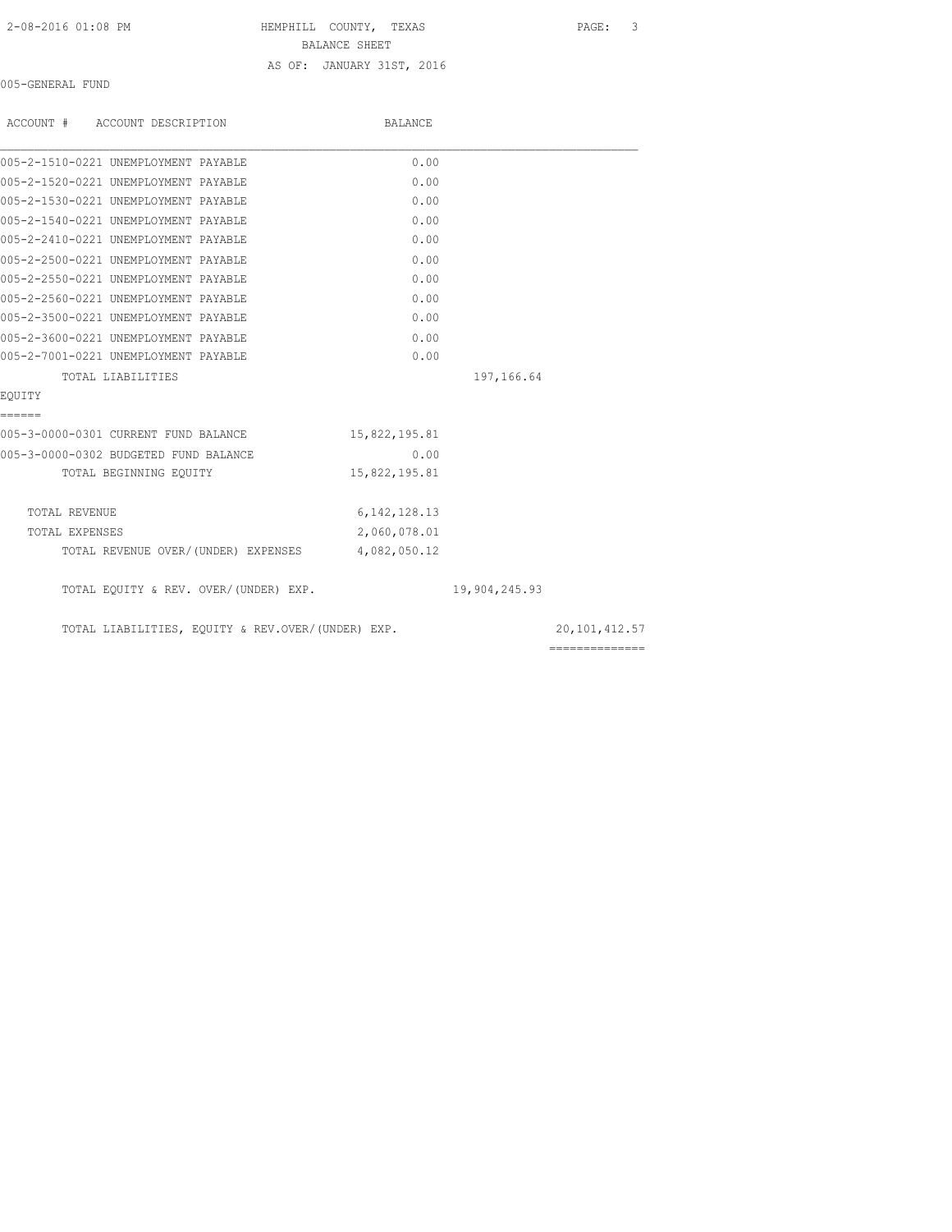### 2-08-2016 01:08 PM HEMPHILL COUNTY, TEXAS PAGE: 3

BALANCE SHEET

## AS OF: JANUARY 31ST, 2016

005-GENERAL FUND

| ACCOUNT # ACCOUNT DESCRIPTION                     | BALANCE         |               |               |
|---------------------------------------------------|-----------------|---------------|---------------|
| 005-2-1510-0221 UNEMPLOYMENT PAYABLE              | 0.00            |               |               |
| 005-2-1520-0221 UNEMPLOYMENT PAYABLE              | 0.00            |               |               |
| 005-2-1530-0221 UNEMPLOYMENT PAYABLE              | 0.00            |               |               |
| 005-2-1540-0221 UNEMPLOYMENT PAYABLE              | 0.00            |               |               |
| 005-2-2410-0221 UNEMPLOYMENT PAYABLE              | 0.00            |               |               |
| 005-2-2500-0221 UNEMPLOYMENT PAYABLE              | 0.00            |               |               |
| 005-2-2550-0221 UNEMPLOYMENT PAYABLE              | 0.00            |               |               |
| 005-2-2560-0221 UNEMPLOYMENT PAYABLE              | 0.00            |               |               |
| 005-2-3500-0221 UNEMPLOYMENT PAYABLE              | 0.00            |               |               |
| 005-2-3600-0221 UNEMPLOYMENT PAYABLE              | 0.00            |               |               |
| 005-2-7001-0221 UNEMPLOYMENT PAYABLE              | 0.00            |               |               |
| TOTAL LIABILITIES                                 |                 | 197,166.64    |               |
| EQUITY                                            |                 |               |               |
| ------                                            |                 |               |               |
| 005-3-0000-0301 CURRENT FUND BALANCE              | 15,822,195.81   |               |               |
| 005-3-0000-0302 BUDGETED FUND BALANCE             | 0.00            |               |               |
| TOTAL BEGINNING EOUITY                            | 15,822,195.81   |               |               |
| TOTAL REVENUE                                     | 6, 142, 128. 13 |               |               |
| TOTAL EXPENSES                                    | 2,060,078.01    |               |               |
| TOTAL REVENUE OVER/(UNDER) EXPENSES 4,082,050.12  |                 |               |               |
| TOTAL EQUITY & REV. OVER/(UNDER) EXP.             |                 | 19,904,245.93 |               |
| TOTAL LIABILITIES, EQUITY & REV.OVER/(UNDER) EXP. |                 |               | 20,101,412.57 |
|                                                   |                 |               |               |

==============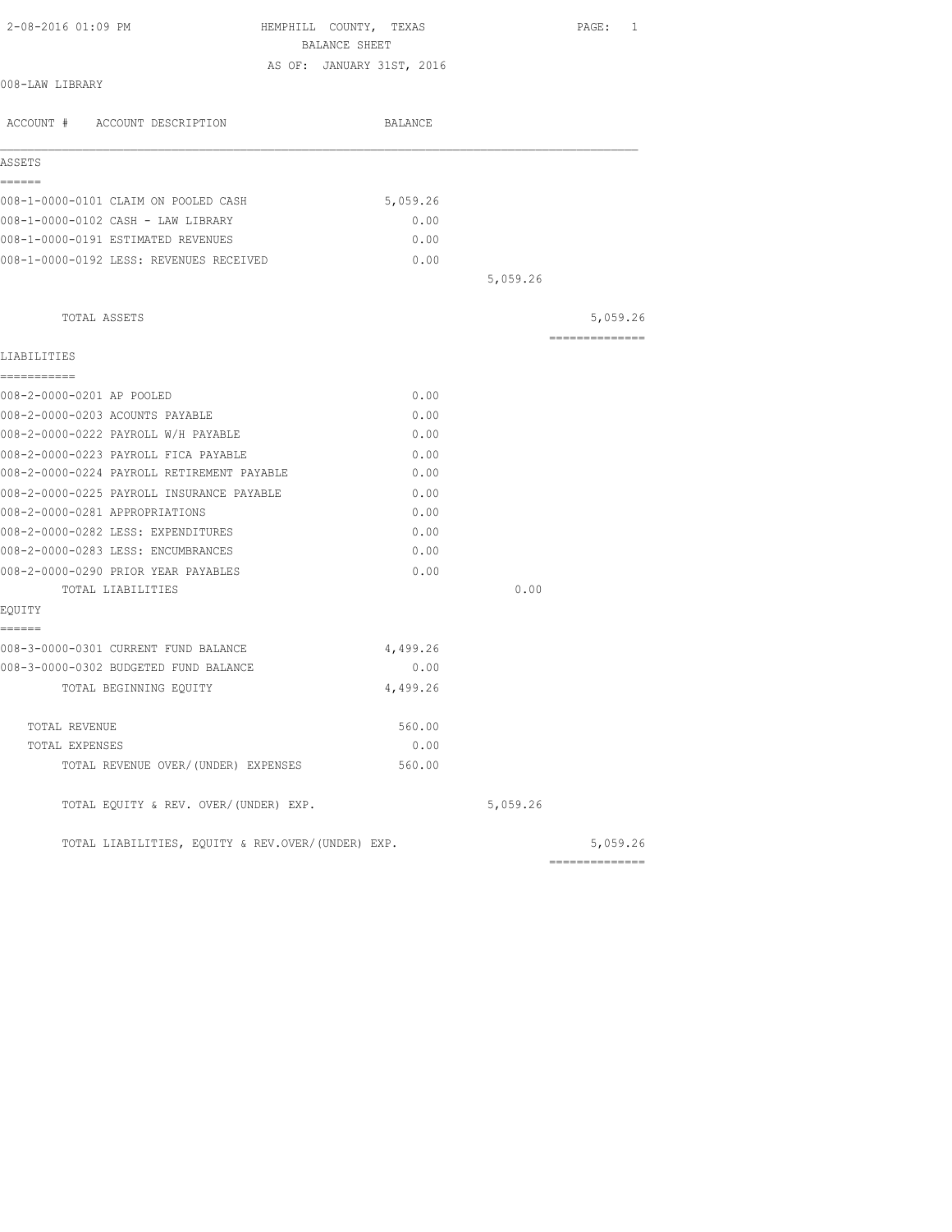| 2-08-2016 01:09 PM                                | HEMPHILL COUNTY, TEXAS<br>BALANCE SHEET |          | PAGE: 1         |
|---------------------------------------------------|-----------------------------------------|----------|-----------------|
|                                                   | AS OF: JANUARY 31ST, 2016               |          |                 |
| 008-LAW LIBRARY                                   |                                         |          |                 |
| ACCOUNT # ACCOUNT DESCRIPTION                     | BALANCE                                 |          |                 |
| ASSETS                                            |                                         |          |                 |
| ======                                            |                                         |          |                 |
| 008-1-0000-0101 CLAIM ON POOLED CASH              | 5,059.26                                |          |                 |
| 008-1-0000-0102 CASH - LAW LIBRARY                | 0.00                                    |          |                 |
| 008-1-0000-0191 ESTIMATED REVENUES                | 0.00                                    |          |                 |
| 008-1-0000-0192 LESS: REVENUES RECEIVED           | 0.00                                    |          |                 |
|                                                   |                                         | 5,059.26 |                 |
| TOTAL ASSETS                                      |                                         |          | 5,059.26        |
|                                                   |                                         |          | --------------- |
| LIABILITIES                                       |                                         |          |                 |
| -----------<br>008-2-0000-0201 AP POOLED          | 0.00                                    |          |                 |
|                                                   |                                         |          |                 |
| 008-2-0000-0203 ACOUNTS PAYABLE                   | 0.00                                    |          |                 |
| 008-2-0000-0222 PAYROLL W/H PAYABLE               | 0.00                                    |          |                 |
| 008-2-0000-0223 PAYROLL FICA PAYABLE              | 0.00                                    |          |                 |
| 008-2-0000-0224 PAYROLL RETIREMENT PAYABLE        | 0.00                                    |          |                 |
| 008-2-0000-0225 PAYROLL INSURANCE PAYABLE         | 0.00                                    |          |                 |
| 008-2-0000-0281 APPROPRIATIONS                    | 0.00                                    |          |                 |
| 008-2-0000-0282 LESS: EXPENDITURES                | 0.00                                    |          |                 |
| 008-2-0000-0283 LESS: ENCUMBRANCES                | 0.00                                    |          |                 |
| 008-2-0000-0290 PRIOR YEAR PAYABLES               | 0.00                                    |          |                 |
| TOTAL LIABILITIES                                 |                                         | 0.00     |                 |
| EQUITY<br>======                                  |                                         |          |                 |
| 008-3-0000-0301 CURRENT FUND BALANCE              | 4,499.26                                |          |                 |
| 008-3-0000-0302 BUDGETED FUND BALANCE             | 0.00                                    |          |                 |
| TOTAL BEGINNING EQUITY                            | 4,499.26                                |          |                 |
|                                                   |                                         |          |                 |
| TOTAL REVENUE                                     | 560.00                                  |          |                 |
| TOTAL EXPENSES                                    | 0.00                                    |          |                 |
| TOTAL REVENUE OVER/(UNDER) EXPENSES               | 560.00                                  |          |                 |
| TOTAL EQUITY & REV. OVER/(UNDER) EXP.             |                                         | 5,059.26 |                 |
| TOTAL LIABILITIES, EQUITY & REV.OVER/(UNDER) EXP. |                                         |          | 5,059.26        |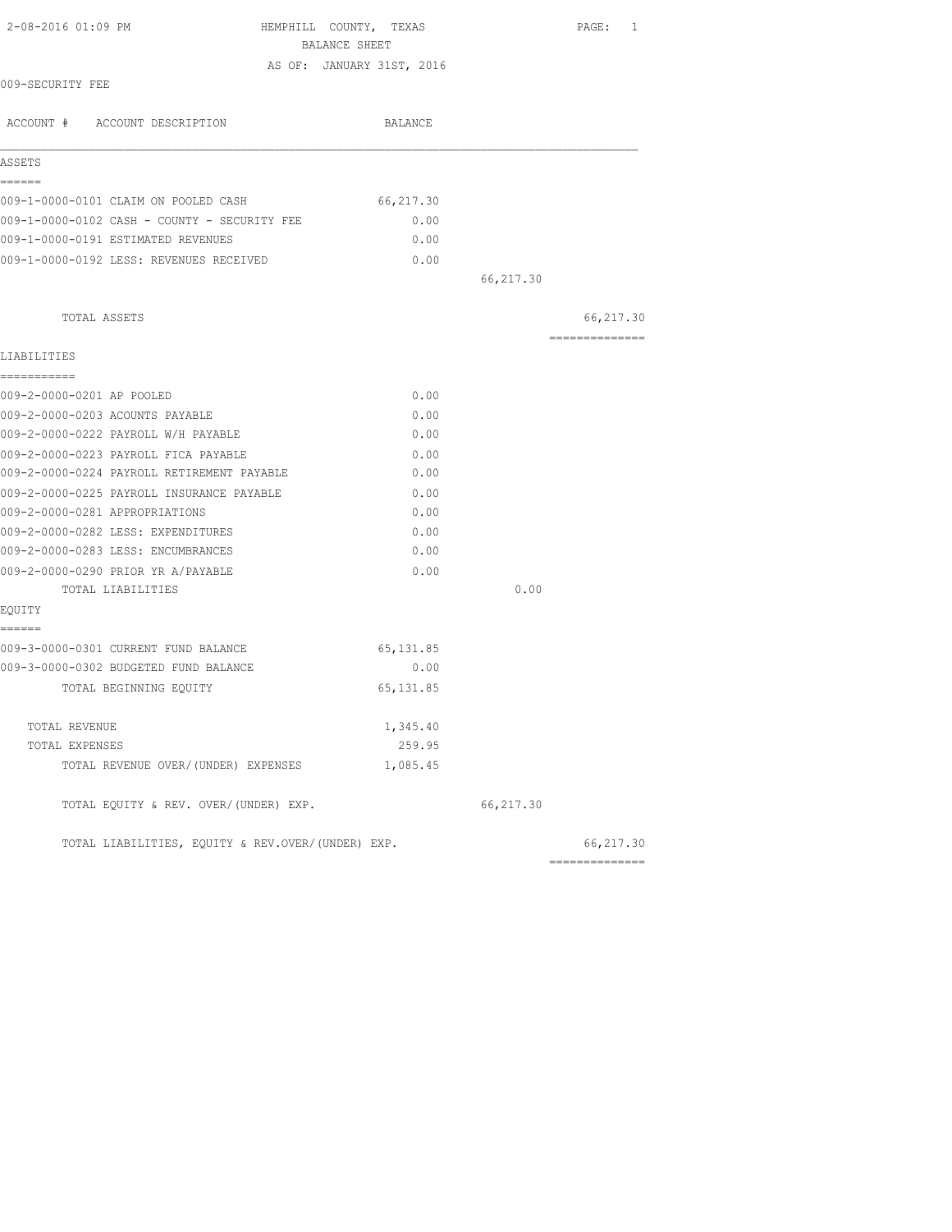| 2-08-2016 01:09 PM                                | HEMPHILL COUNTY, TEXAS<br>BALANCE SHEET |           | PAGE: 1         |
|---------------------------------------------------|-----------------------------------------|-----------|-----------------|
|                                                   | AS OF: JANUARY 31ST, 2016               |           |                 |
| 009-SECURITY FEE                                  |                                         |           |                 |
| ACCOUNT # ACCOUNT DESCRIPTION                     | BALANCE                                 |           |                 |
| ASSETS                                            |                                         |           |                 |
| ------                                            |                                         |           |                 |
| 009-1-0000-0101 CLAIM ON POOLED CASH              | 66, 217.30                              |           |                 |
| 009-1-0000-0102 CASH - COUNTY - SECURITY FEE      | 0.00                                    |           |                 |
| 009-1-0000-0191 ESTIMATED REVENUES                | 0.00                                    |           |                 |
| 009-1-0000-0192 LESS: REVENUES RECEIVED           | 0.00                                    |           |                 |
|                                                   |                                         | 66,217.30 |                 |
| TOTAL ASSETS                                      |                                         |           | 66, 217.30      |
| LIABILITIES                                       |                                         |           | =============== |
| ------------                                      |                                         |           |                 |
| 009-2-0000-0201 AP POOLED                         | 0.00                                    |           |                 |
| 009-2-0000-0203 ACOUNTS PAYABLE                   | 0.00                                    |           |                 |
| 009-2-0000-0222 PAYROLL W/H PAYABLE               | 0.00                                    |           |                 |
| 009-2-0000-0223 PAYROLL FICA PAYABLE              | 0.00                                    |           |                 |
| 009-2-0000-0224 PAYROLL RETIREMENT PAYABLE        | 0.00                                    |           |                 |
| 009-2-0000-0225 PAYROLL INSURANCE PAYABLE         | 0.00                                    |           |                 |
| 009-2-0000-0281 APPROPRIATIONS                    | 0.00                                    |           |                 |
| 009-2-0000-0282 LESS: EXPENDITURES                | 0.00                                    |           |                 |
| 009-2-0000-0283 LESS: ENCUMBRANCES                | 0.00                                    |           |                 |
| 009-2-0000-0290 PRIOR YR A/PAYABLE                | 0.00                                    |           |                 |
| TOTAL LIABILITIES                                 |                                         | 0.00      |                 |
| EQUITY                                            |                                         |           |                 |
| ======<br>009-3-0000-0301 CURRENT FUND BALANCE    | 65, 131.85                              |           |                 |
| 009-3-0000-0302 BUDGETED FUND BALANCE             | 0.00                                    |           |                 |
| TOTAL BEGINNING EQUITY                            | 65, 131.85                              |           |                 |
| TOTAL REVENUE                                     | 1,345.40                                |           |                 |
| TOTAL EXPENSES                                    | 259.95                                  |           |                 |
| TOTAL REVENUE OVER/(UNDER) EXPENSES               | 1,085.45                                |           |                 |
| TOTAL EQUITY & REV. OVER/(UNDER) EXP.             |                                         | 66,217.30 |                 |
| TOTAL LIABILITIES, EQUITY & REV.OVER/(UNDER) EXP. |                                         |           | 66,217.30       |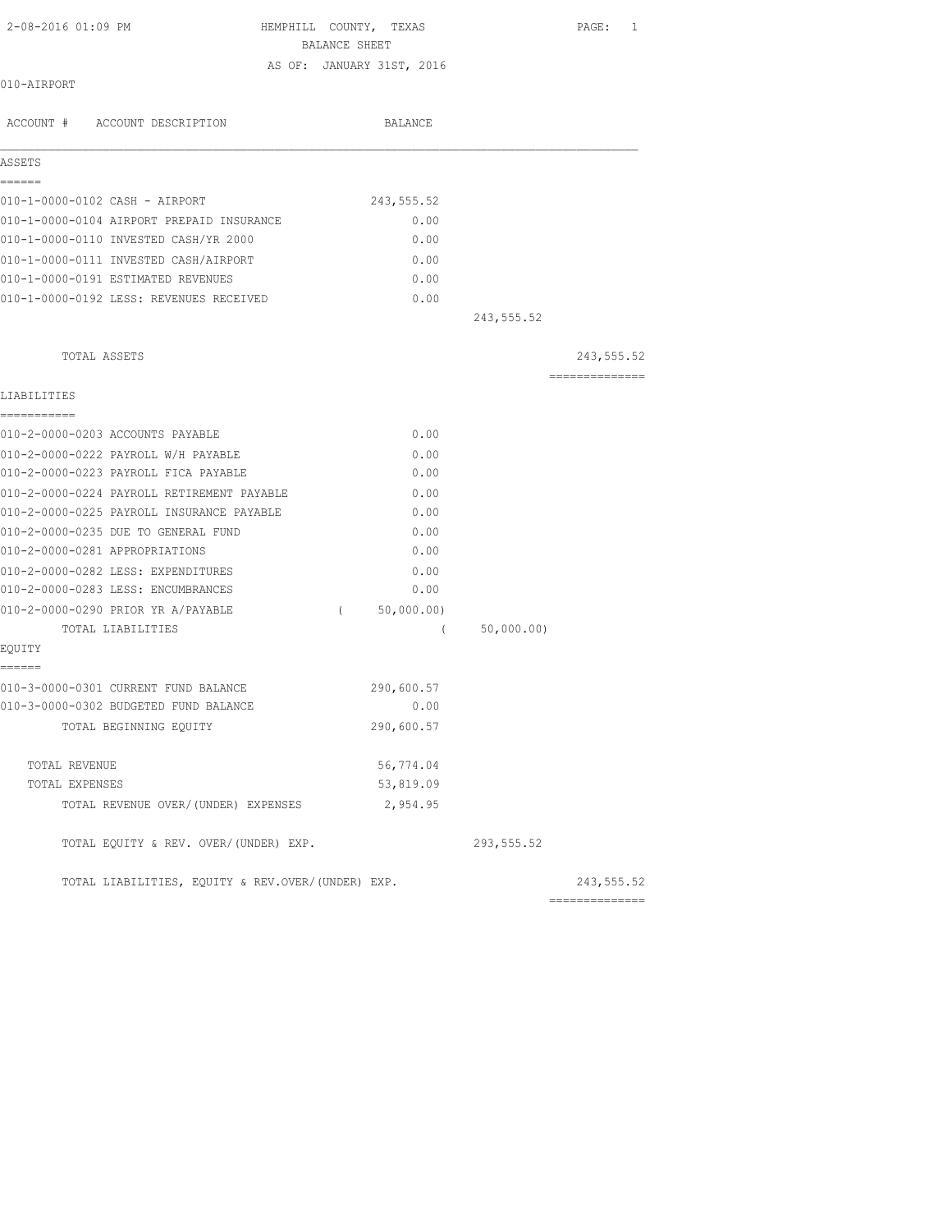| 2-08-2016 01:09 PM | HEMPHILL COUNTY, TEXAS    | PAGE: |
|--------------------|---------------------------|-------|
|                    | BALANCE SHEET             |       |
|                    | AS OF: JANUARY 31ST, 2016 |       |
| 010-AIRPORT        |                           |       |

| ACCOUNT # ACCOUNT DESCRIPTION                     | BALANCE                |             |                 |
|---------------------------------------------------|------------------------|-------------|-----------------|
| ASSETS                                            |                        |             |                 |
| ======                                            |                        |             |                 |
| 010-1-0000-0102 CASH - AIRPORT                    | 243,555.52             |             |                 |
| 010-1-0000-0104 AIRPORT PREPAID INSURANCE         | 0.00                   |             |                 |
| 010-1-0000-0110 INVESTED CASH/YR 2000             | 0.00                   |             |                 |
| 010-1-0000-0111 INVESTED CASH/AIRPORT             | 0.00                   |             |                 |
| 010-1-0000-0191 ESTIMATED REVENUES                | 0.00                   |             |                 |
| 010-1-0000-0192 LESS: REVENUES RECEIVED           | 0.00                   |             |                 |
|                                                   |                        | 243, 555.52 |                 |
| TOTAL ASSETS                                      |                        |             | 243,555.52      |
|                                                   |                        |             | ==============  |
| LIABILITIES                                       |                        |             |                 |
| -----------                                       |                        |             |                 |
| 010-2-0000-0203 ACCOUNTS PAYABLE                  | 0.00                   |             |                 |
| 010-2-0000-0222 PAYROLL W/H PAYABLE               | 0.00                   |             |                 |
| 010-2-0000-0223 PAYROLL FICA PAYABLE              | 0.00                   |             |                 |
| 010-2-0000-0224 PAYROLL RETIREMENT PAYABLE        | 0.00                   |             |                 |
| 010-2-0000-0225 PAYROLL INSURANCE PAYABLE         | 0.00                   |             |                 |
| 010-2-0000-0235 DUE TO GENERAL FUND               | 0.00                   |             |                 |
| 010-2-0000-0281 APPROPRIATIONS                    | 0.00                   |             |                 |
| 010-2-0000-0282 LESS: EXPENDITURES                | 0.00                   |             |                 |
| 010-2-0000-0283 LESS: ENCUMBRANCES                | 0.00                   |             |                 |
| 010-2-0000-0290 PRIOR YR A/PAYABLE                | 50,000.00)<br>$\left($ |             |                 |
| TOTAL LIABILITIES                                 | $\left($               | 50,000.00)  |                 |
| EQUITY<br>------                                  |                        |             |                 |
| 010-3-0000-0301 CURRENT FUND BALANCE              | 290,600.57             |             |                 |
| 010-3-0000-0302 BUDGETED FUND BALANCE             | 0.00                   |             |                 |
| TOTAL BEGINNING EQUITY                            | 290,600.57             |             |                 |
| TOTAL REVENUE                                     | 56,774.04              |             |                 |
| TOTAL EXPENSES                                    | 53,819.09              |             |                 |
| TOTAL REVENUE OVER/(UNDER) EXPENSES               | 2,954.95               |             |                 |
| TOTAL EQUITY & REV. OVER/(UNDER) EXP.             |                        | 293,555.52  |                 |
| TOTAL LIABILITIES, EQUITY & REV.OVER/(UNDER) EXP. |                        |             | 243,555.52      |
|                                                   |                        |             | =============== |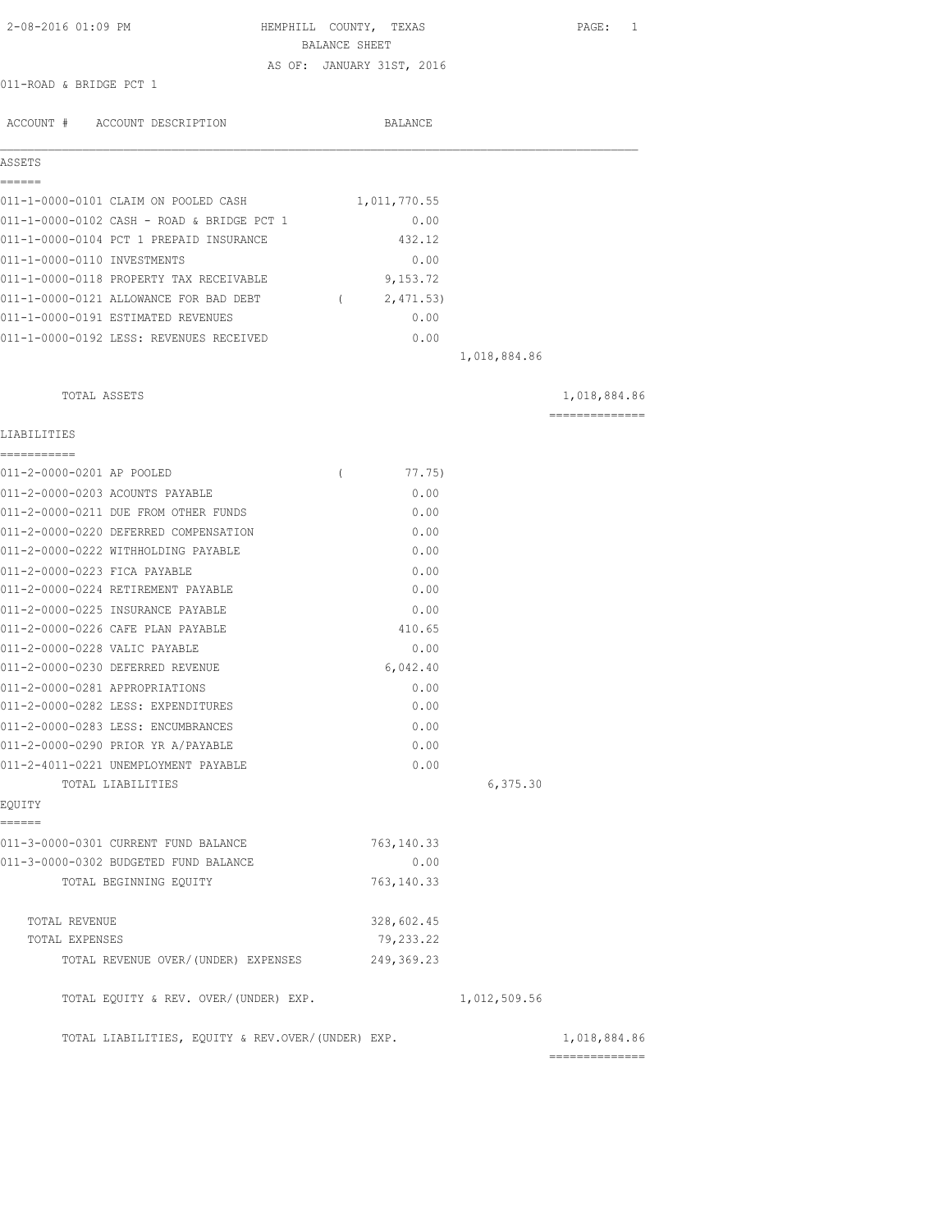| 2-08-2016 01:09 PM                                | HEMPHILL COUNTY, TEXAS<br>BALANCE SHEET |              | PAGE: 1                        |
|---------------------------------------------------|-----------------------------------------|--------------|--------------------------------|
|                                                   | AS OF: JANUARY 31ST, 2016               |              |                                |
| 011-ROAD & BRIDGE PCT 1                           |                                         |              |                                |
| ACCOUNT # ACCOUNT DESCRIPTION                     | <b>BALANCE</b>                          |              |                                |
| ASSETS<br>======                                  |                                         |              |                                |
| 011-1-0000-0101 CLAIM ON POOLED CASH              | 1,011,770.55                            |              |                                |
| 011-1-0000-0102 CASH - ROAD & BRIDGE PCT 1        | 0.00                                    |              |                                |
| 011-1-0000-0104 PCT 1 PREPAID INSURANCE           | 432.12                                  |              |                                |
| 011-1-0000-0110 INVESTMENTS                       | 0.00                                    |              |                                |
| 011-1-0000-0118 PROPERTY TAX RECEIVABLE           | 9,153.72                                |              |                                |
| 011-1-0000-0121 ALLOWANCE FOR BAD DEBT            | (2, 471.53)                             |              |                                |
| 011-1-0000-0191 ESTIMATED REVENUES                | 0.00                                    |              |                                |
| 011-1-0000-0192 LESS: REVENUES RECEIVED           | 0.00                                    |              |                                |
|                                                   |                                         | 1,018,884.86 |                                |
| TOTAL ASSETS                                      |                                         |              | 1,018,884.86                   |
|                                                   |                                         |              | ---------------                |
| LIABILITIES<br>===========                        |                                         |              |                                |
| 011-2-0000-0201 AP POOLED                         | 77.75)<br>$\left($                      |              |                                |
| 011-2-0000-0203 ACOUNTS PAYABLE                   | 0.00                                    |              |                                |
| 011-2-0000-0211 DUE FROM OTHER FUNDS              | 0.00                                    |              |                                |
| 011-2-0000-0220 DEFERRED COMPENSATION             | 0.00                                    |              |                                |
| 011-2-0000-0222 WITHHOLDING PAYABLE               | 0.00                                    |              |                                |
| 011-2-0000-0223 FICA PAYABLE                      | 0.00                                    |              |                                |
| 011-2-0000-0224 RETIREMENT PAYABLE                | 0.00                                    |              |                                |
| 011-2-0000-0225 INSURANCE PAYABLE                 | 0.00                                    |              |                                |
| 011-2-0000-0226 CAFE PLAN PAYABLE                 | 410.65                                  |              |                                |
| 011-2-0000-0228 VALIC PAYABLE                     | 0.00                                    |              |                                |
| 011-2-0000-0230 DEFERRED REVENUE                  | 6,042.40                                |              |                                |
| 011-2-0000-0281 APPROPRIATIONS                    | 0.00                                    |              |                                |
| 011-2-0000-0282 LESS: EXPENDITURES                | 0.00                                    |              |                                |
| 011-2-0000-0283 LESS: ENCUMBRANCES                | 0.00                                    |              |                                |
| 011-2-0000-0290 PRIOR YR A/PAYABLE                | 0.00                                    |              |                                |
| 011-2-4011-0221 UNEMPLOYMENT PAYABLE              | 0.00                                    |              |                                |
| TOTAL LIABILITIES<br>EQUITY                       |                                         | 6,375.30     |                                |
| ======                                            |                                         |              |                                |
| 011-3-0000-0301 CURRENT FUND BALANCE              | 763, 140.33                             |              |                                |
| 011-3-0000-0302 BUDGETED FUND BALANCE             | 0.00                                    |              |                                |
| TOTAL BEGINNING EQUITY                            | 763, 140.33                             |              |                                |
| TOTAL REVENUE                                     | 328,602.45                              |              |                                |
| TOTAL EXPENSES                                    | 79,233.22                               |              |                                |
| TOTAL REVENUE OVER/(UNDER) EXPENSES               | 249, 369.23                             |              |                                |
| TOTAL EQUITY & REV. OVER/(UNDER) EXP.             |                                         | 1,012,509.56 |                                |
| TOTAL LIABILITIES, EQUITY & REV.OVER/(UNDER) EXP. |                                         |              | 1,018,884.86<br>============== |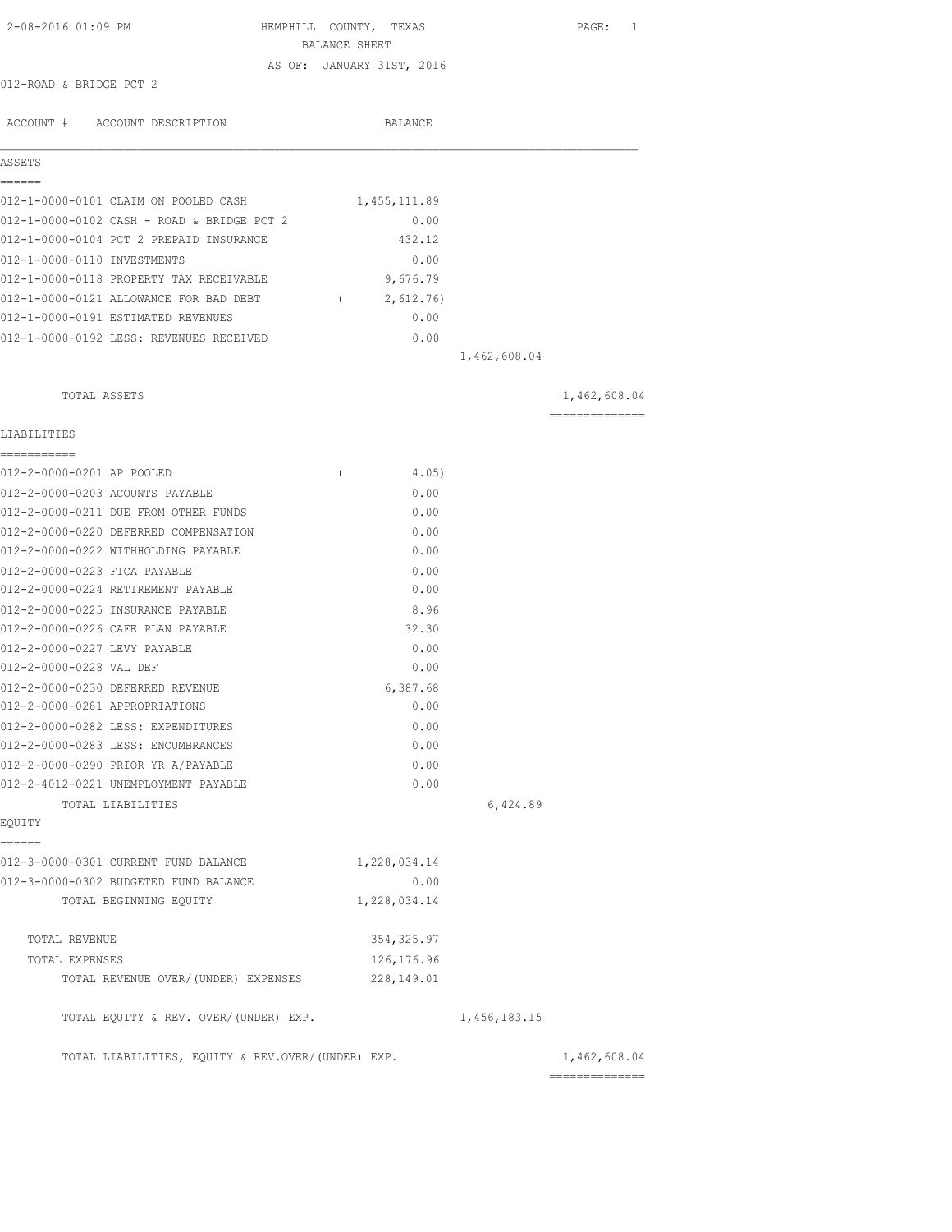| 2-08-2016 01:09 PM                                                      | HEMPHILL COUNTY, TEXAS      |              | PAGE: 1        |
|-------------------------------------------------------------------------|-----------------------------|--------------|----------------|
|                                                                         | BALANCE SHEET               |              |                |
|                                                                         | AS OF: JANUARY 31ST, 2016   |              |                |
| 012-ROAD & BRIDGE PCT 2                                                 |                             |              |                |
| ACCOUNT # ACCOUNT DESCRIPTION                                           | BALANCE                     |              |                |
| ASSETS                                                                  |                             |              |                |
| ======                                                                  |                             |              |                |
| 012-1-0000-0101 CLAIM ON POOLED CASH                                    | 1,455,111.89                |              |                |
| 012-1-0000-0102 CASH - ROAD & BRIDGE PCT 2                              | 0.00                        |              |                |
| 012-1-0000-0104 PCT 2 PREPAID INSURANCE                                 | 432.12                      |              |                |
| 012-1-0000-0110 INVESTMENTS                                             | 0.00                        |              |                |
| 012-1-0000-0118 PROPERTY TAX RECEIVABLE                                 | 9,676.79                    |              |                |
| 012-1-0000-0121 ALLOWANCE FOR BAD DEBT                                  | 2,612.76)<br>$\overline{a}$ |              |                |
| 012-1-0000-0191 ESTIMATED REVENUES                                      | 0.00                        |              |                |
| 012-1-0000-0192 LESS: REVENUES RECEIVED                                 | 0.00                        |              |                |
|                                                                         |                             | 1,462,608.04 |                |
| TOTAL ASSETS                                                            |                             |              | 1,462,608.04   |
| LIABILITIES                                                             |                             |              | ============== |
|                                                                         |                             |              |                |
| 012-2-0000-0201 AP POOLED                                               | $\left($<br>4.05)           |              |                |
| 012-2-0000-0203 ACOUNTS PAYABLE                                         | 0.00                        |              |                |
| 012-2-0000-0211 DUE FROM OTHER FUNDS                                    | 0.00                        |              |                |
| 012-2-0000-0220 DEFERRED COMPENSATION                                   | 0.00                        |              |                |
| 012-2-0000-0222 WITHHOLDING PAYABLE                                     | 0.00                        |              |                |
| 012-2-0000-0223 FICA PAYABLE                                            | 0.00                        |              |                |
| 012-2-0000-0224 RETIREMENT PAYABLE<br>012-2-0000-0225 INSURANCE PAYABLE | 0.00<br>8.96                |              |                |
| 012-2-0000-0226 CAFE PLAN PAYABLE                                       | 32.30                       |              |                |
| 012-2-0000-0227 LEVY PAYABLE                                            | 0.00                        |              |                |
| 012-2-0000-0228 VAL DEF                                                 | 0.00                        |              |                |
| 012-2-0000-0230 DEFERRED REVENUE                                        | 6,387.68                    |              |                |
| 012-2-0000-0281 APPROPRIATIONS                                          | 0.00                        |              |                |
| 012-2-0000-0282 LESS: EXPENDITURES                                      | 0.00                        |              |                |
| 012-2-0000-0283 LESS: ENCUMBRANCES                                      | 0.00                        |              |                |
| 012-2-0000-0290 PRIOR YR A/PAYABLE                                      | 0.00                        |              |                |
| 012-2-4012-0221 UNEMPLOYMENT PAYABLE                                    | 0.00                        |              |                |
| TOTAL LIABILITIES                                                       |                             | 6,424.89     |                |
| EQUITY                                                                  |                             |              |                |
| ======<br>012-3-0000-0301 CURRENT FUND BALANCE                          | 1,228,034.14                |              |                |
| 012-3-0000-0302 BUDGETED FUND BALANCE                                   | 0.00                        |              |                |
| TOTAL BEGINNING EQUITY                                                  | 1,228,034.14                |              |                |
|                                                                         |                             |              |                |
| TOTAL REVENUE                                                           | 354, 325.97                 |              |                |
| TOTAL EXPENSES                                                          | 126,176.96                  |              |                |
| TOTAL REVENUE OVER/(UNDER) EXPENSES                                     | 228,149.01                  |              |                |
| TOTAL EQUITY & REV. OVER/(UNDER) EXP.                                   |                             | 1,456,183.15 |                |
| TOTAL LIABILITIES, EQUITY & REV.OVER/(UNDER) EXP.                       |                             |              | 1,462,608.04   |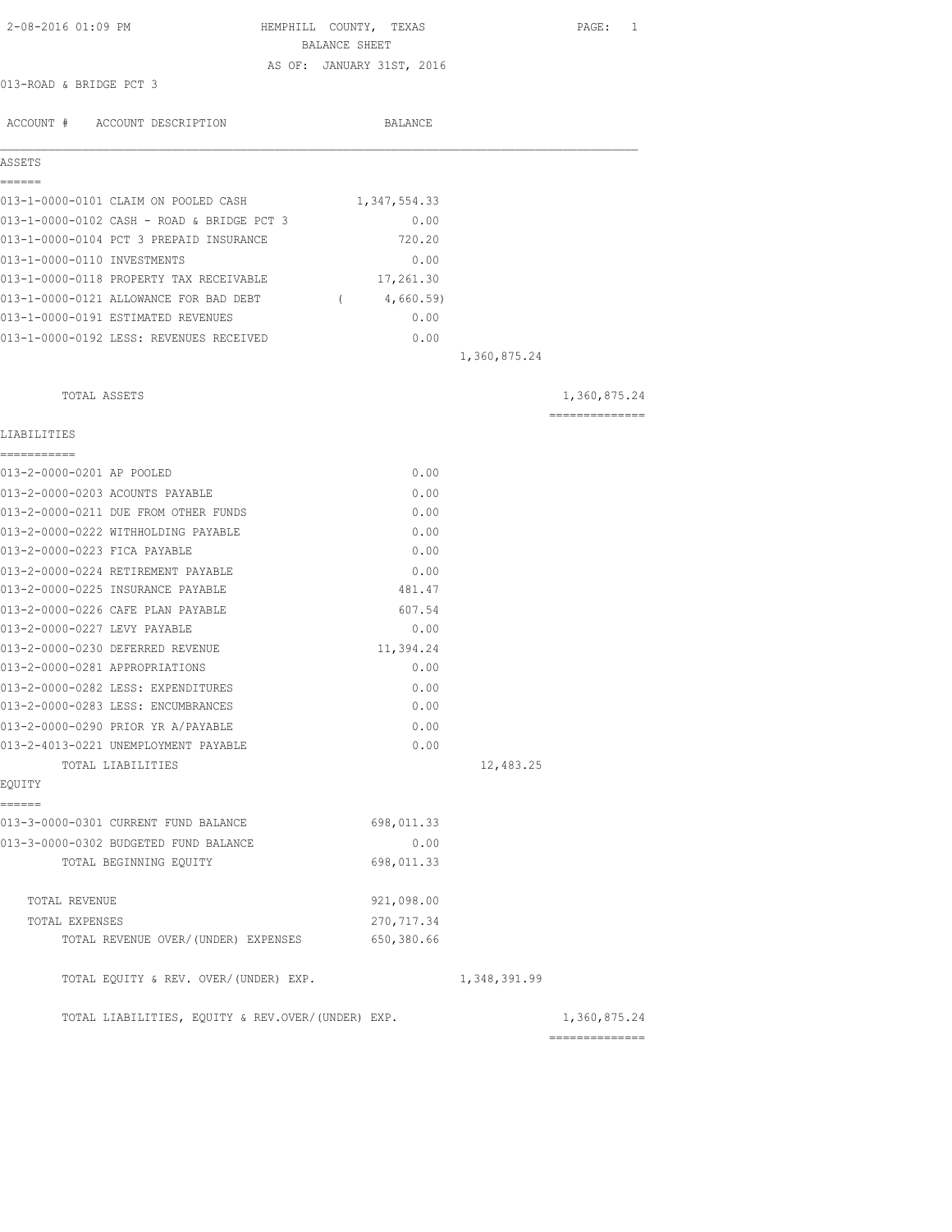| 2-08-2016 01:09 PM                                                                    | HEMPHILL COUNTY, TEXAS                     |              | PAGE: 1        |
|---------------------------------------------------------------------------------------|--------------------------------------------|--------------|----------------|
|                                                                                       | BALANCE SHEET<br>AS OF: JANUARY 31ST, 2016 |              |                |
| 013-ROAD & BRIDGE PCT 3                                                               |                                            |              |                |
|                                                                                       |                                            |              |                |
| ACCOUNT # ACCOUNT DESCRIPTION                                                         | BALANCE                                    |              |                |
| ASSETS                                                                                |                                            |              |                |
| ======                                                                                |                                            |              |                |
| 013-1-0000-0101 CLAIM ON POOLED CASH                                                  | 1,347,554.33                               |              |                |
| 013-1-0000-0102 CASH - ROAD & BRIDGE PCT 3<br>013-1-0000-0104 PCT 3 PREPAID INSURANCE | 0.00<br>720.20                             |              |                |
| 013-1-0000-0110 INVESTMENTS                                                           | 0.00                                       |              |                |
| 013-1-0000-0118 PROPERTY TAX RECEIVABLE                                               | 17,261.30                                  |              |                |
| 013-1-0000-0121 ALLOWANCE FOR BAD DEBT                                                | (4,660.59)                                 |              |                |
| 013-1-0000-0191 ESTIMATED REVENUES                                                    | 0.00                                       |              |                |
| 013-1-0000-0192 LESS: REVENUES RECEIVED                                               |                                            |              |                |
|                                                                                       | 0.00                                       | 1,360,875.24 |                |
| TOTAL ASSETS                                                                          |                                            |              | 1,360,875.24   |
|                                                                                       |                                            |              | ============== |
| LIABILITIES<br>===========                                                            |                                            |              |                |
| 013-2-0000-0201 AP POOLED                                                             | 0.00                                       |              |                |
| 013-2-0000-0203 ACOUNTS PAYABLE                                                       | 0.00                                       |              |                |
| 013-2-0000-0211 DUE FROM OTHER FUNDS                                                  | 0.00                                       |              |                |
| 013-2-0000-0222 WITHHOLDING PAYABLE                                                   | 0.00                                       |              |                |
| 013-2-0000-0223 FICA PAYABLE                                                          | 0.00                                       |              |                |
| 013-2-0000-0224 RETIREMENT PAYABLE                                                    | 0.00                                       |              |                |
| 013-2-0000-0225 INSURANCE PAYABLE                                                     | 481.47                                     |              |                |
| 013-2-0000-0226 CAFE PLAN PAYABLE                                                     | 607.54                                     |              |                |
| 013-2-0000-0227 LEVY PAYABLE                                                          | 0.00                                       |              |                |
| 013-2-0000-0230 DEFERRED REVENUE                                                      | 11,394.24                                  |              |                |
| 013-2-0000-0281 APPROPRIATIONS                                                        | 0.00                                       |              |                |
| 013-2-0000-0282 LESS: EXPENDITURES                                                    | 0.00                                       |              |                |
| 013-2-0000-0283 LESS: ENCUMBRANCES                                                    | 0.00                                       |              |                |
| 013-2-0000-0290 PRIOR YR A/PAYABLE                                                    | 0.00                                       |              |                |
| 013-2-4013-0221 UNEMPLOYMENT PAYABLE                                                  | 0.00                                       |              |                |
| TOTAL LIABILITIES                                                                     |                                            | 12,483.25    |                |
| EQUITY                                                                                |                                            |              |                |
| ======<br>013-3-0000-0301 CURRENT FUND BALANCE                                        | 698,011.33                                 |              |                |
| 013-3-0000-0302 BUDGETED FUND BALANCE                                                 | 0.00                                       |              |                |
| TOTAL BEGINNING EQUITY                                                                | 698,011.33                                 |              |                |
| TOTAL REVENUE                                                                         | 921,098.00                                 |              |                |
| TOTAL EXPENSES                                                                        | 270, 717.34                                |              |                |
| TOTAL REVENUE OVER/(UNDER) EXPENSES                                                   | 650,380.66                                 |              |                |
| TOTAL EQUITY & REV. OVER/(UNDER) EXP.                                                 |                                            | 1,348,391.99 |                |
| TOTAL LIABILITIES, EQUITY & REV.OVER/(UNDER) EXP.                                     |                                            |              | 1,360,875.24   |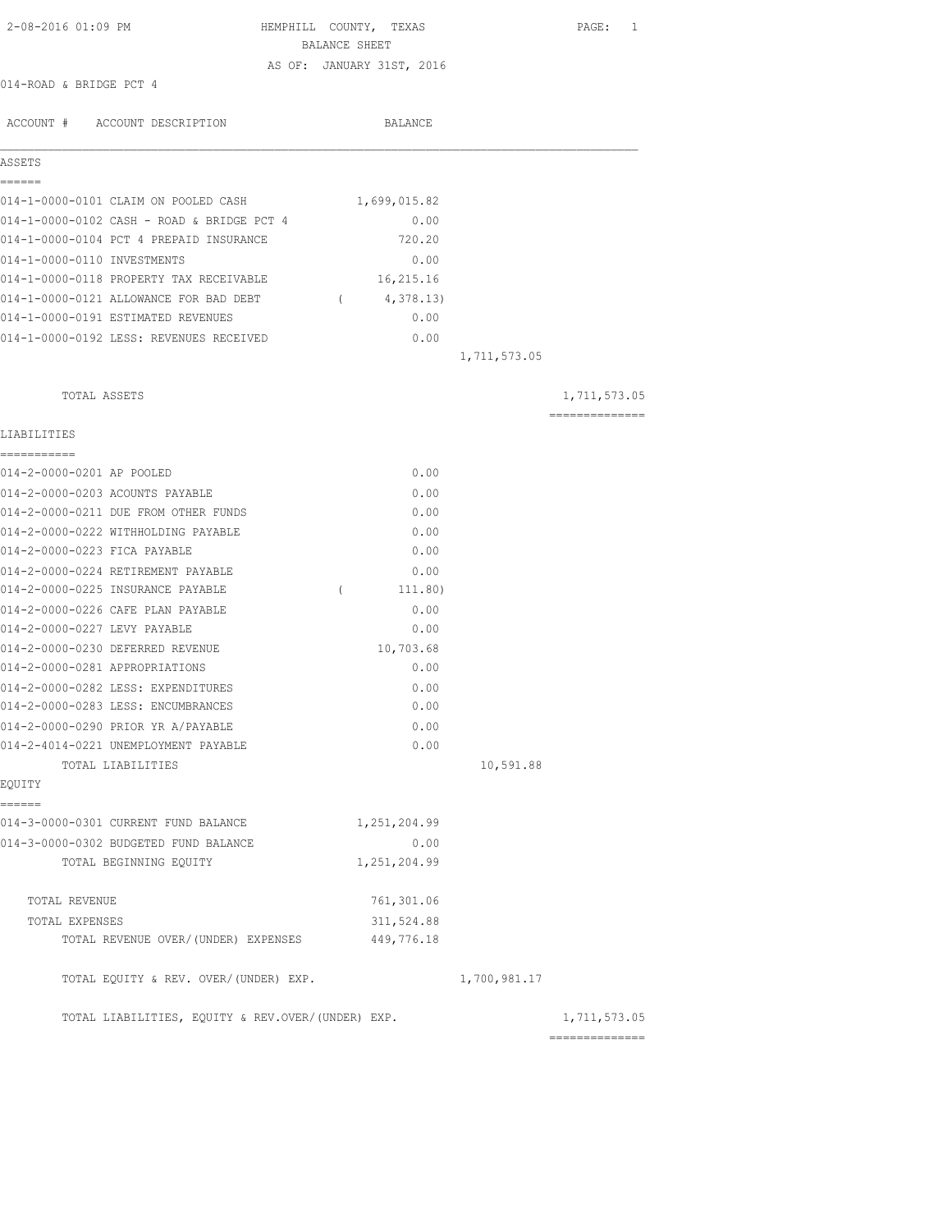| 2-08-2016 01:09 PM                                | HEMPHILL COUNTY, TEXAS<br>BALANCE SHEET |              | PAGE: 1                                                                                                                                                                                                                                                                                                                                                                                                                                                                                |
|---------------------------------------------------|-----------------------------------------|--------------|----------------------------------------------------------------------------------------------------------------------------------------------------------------------------------------------------------------------------------------------------------------------------------------------------------------------------------------------------------------------------------------------------------------------------------------------------------------------------------------|
|                                                   | AS OF: JANUARY 31ST, 2016               |              |                                                                                                                                                                                                                                                                                                                                                                                                                                                                                        |
| 014-ROAD & BRIDGE PCT 4                           |                                         |              |                                                                                                                                                                                                                                                                                                                                                                                                                                                                                        |
|                                                   |                                         |              |                                                                                                                                                                                                                                                                                                                                                                                                                                                                                        |
| ACCOUNT # ACCOUNT DESCRIPTION                     | BALANCE                                 |              |                                                                                                                                                                                                                                                                                                                                                                                                                                                                                        |
| ASSETS                                            |                                         |              |                                                                                                                                                                                                                                                                                                                                                                                                                                                                                        |
| ======                                            |                                         |              |                                                                                                                                                                                                                                                                                                                                                                                                                                                                                        |
| 014-1-0000-0101 CLAIM ON POOLED CASH              | 1,699,015.82                            |              |                                                                                                                                                                                                                                                                                                                                                                                                                                                                                        |
| 014-1-0000-0102 CASH - ROAD & BRIDGE PCT 4        | 0.00                                    |              |                                                                                                                                                                                                                                                                                                                                                                                                                                                                                        |
| 014-1-0000-0104 PCT 4 PREPAID INSURANCE           | 720.20                                  |              |                                                                                                                                                                                                                                                                                                                                                                                                                                                                                        |
| 014-1-0000-0110 INVESTMENTS                       | 0.00                                    |              |                                                                                                                                                                                                                                                                                                                                                                                                                                                                                        |
| 014-1-0000-0118 PROPERTY TAX RECEIVABLE           | 16,215.16                               |              |                                                                                                                                                                                                                                                                                                                                                                                                                                                                                        |
| 014-1-0000-0121 ALLOWANCE FOR BAD DEBT            | 4,378.13)<br>$\sqrt{2}$                 |              |                                                                                                                                                                                                                                                                                                                                                                                                                                                                                        |
| 014-1-0000-0191 ESTIMATED REVENUES                | 0.00                                    |              |                                                                                                                                                                                                                                                                                                                                                                                                                                                                                        |
| 014-1-0000-0192 LESS: REVENUES RECEIVED           | 0.00                                    |              |                                                                                                                                                                                                                                                                                                                                                                                                                                                                                        |
|                                                   |                                         | 1,711,573.05 |                                                                                                                                                                                                                                                                                                                                                                                                                                                                                        |
| TOTAL ASSETS                                      |                                         |              | 1,711,573.05                                                                                                                                                                                                                                                                                                                                                                                                                                                                           |
|                                                   |                                         |              | $\begin{array}{cccccccccccccc} \multicolumn{2}{c}{} & \multicolumn{2}{c}{} & \multicolumn{2}{c}{} & \multicolumn{2}{c}{} & \multicolumn{2}{c}{} & \multicolumn{2}{c}{} & \multicolumn{2}{c}{} & \multicolumn{2}{c}{} & \multicolumn{2}{c}{} & \multicolumn{2}{c}{} & \multicolumn{2}{c}{} & \multicolumn{2}{c}{} & \multicolumn{2}{c}{} & \multicolumn{2}{c}{} & \multicolumn{2}{c}{} & \multicolumn{2}{c}{} & \multicolumn{2}{c}{} & \multicolumn{2}{c}{} & \multicolumn{2}{c}{} & \$ |
| LIABILITIES<br>-----------                        |                                         |              |                                                                                                                                                                                                                                                                                                                                                                                                                                                                                        |
| 014-2-0000-0201 AP POOLED                         | 0.00                                    |              |                                                                                                                                                                                                                                                                                                                                                                                                                                                                                        |
| 014-2-0000-0203 ACOUNTS PAYABLE                   | 0.00                                    |              |                                                                                                                                                                                                                                                                                                                                                                                                                                                                                        |
| 014-2-0000-0211 DUE FROM OTHER FUNDS              | 0.00                                    |              |                                                                                                                                                                                                                                                                                                                                                                                                                                                                                        |
| 014-2-0000-0222 WITHHOLDING PAYABLE               | 0.00                                    |              |                                                                                                                                                                                                                                                                                                                                                                                                                                                                                        |
| 014-2-0000-0223 FICA PAYABLE                      | 0.00                                    |              |                                                                                                                                                                                                                                                                                                                                                                                                                                                                                        |
| 014-2-0000-0224 RETIREMENT PAYABLE                | 0.00                                    |              |                                                                                                                                                                                                                                                                                                                                                                                                                                                                                        |
| 014-2-0000-0225 INSURANCE PAYABLE                 | $\left($<br>111.80)                     |              |                                                                                                                                                                                                                                                                                                                                                                                                                                                                                        |
| 014-2-0000-0226 CAFE PLAN PAYABLE                 | 0.00                                    |              |                                                                                                                                                                                                                                                                                                                                                                                                                                                                                        |
| 014-2-0000-0227 LEVY PAYABLE                      | 0.00                                    |              |                                                                                                                                                                                                                                                                                                                                                                                                                                                                                        |
| 014-2-0000-0230 DEFERRED REVENUE                  | 10,703.68                               |              |                                                                                                                                                                                                                                                                                                                                                                                                                                                                                        |
| 014-2-0000-0281 APPROPRIATIONS                    | 0.00                                    |              |                                                                                                                                                                                                                                                                                                                                                                                                                                                                                        |
| 014-2-0000-0282 LESS: EXPENDITURES                | 0.00                                    |              |                                                                                                                                                                                                                                                                                                                                                                                                                                                                                        |
| 014-2-0000-0283 LESS: ENCUMBRANCES                | 0.00                                    |              |                                                                                                                                                                                                                                                                                                                                                                                                                                                                                        |
| 014-2-0000-0290 PRIOR YR A/PAYABLE                | 0.00                                    |              |                                                                                                                                                                                                                                                                                                                                                                                                                                                                                        |
| 014-2-4014-0221 UNEMPLOYMENT PAYABLE              | 0.00                                    |              |                                                                                                                                                                                                                                                                                                                                                                                                                                                                                        |
| TOTAL LIABILITIES                                 |                                         | 10,591.88    |                                                                                                                                                                                                                                                                                                                                                                                                                                                                                        |
| EQUITY                                            |                                         |              |                                                                                                                                                                                                                                                                                                                                                                                                                                                                                        |
| ======<br>014-3-0000-0301 CURRENT FUND BALANCE    | 1,251,204.99                            |              |                                                                                                                                                                                                                                                                                                                                                                                                                                                                                        |
| 014-3-0000-0302 BUDGETED FUND BALANCE             | 0.00                                    |              |                                                                                                                                                                                                                                                                                                                                                                                                                                                                                        |
| TOTAL BEGINNING EQUITY                            | 1,251,204.99                            |              |                                                                                                                                                                                                                                                                                                                                                                                                                                                                                        |
| TOTAL REVENUE                                     | 761,301.06                              |              |                                                                                                                                                                                                                                                                                                                                                                                                                                                                                        |
| TOTAL EXPENSES                                    | 311,524.88                              |              |                                                                                                                                                                                                                                                                                                                                                                                                                                                                                        |
| TOTAL REVENUE OVER/ (UNDER) EXPENSES              | 449,776.18                              |              |                                                                                                                                                                                                                                                                                                                                                                                                                                                                                        |
| TOTAL EQUITY & REV. OVER/(UNDER) EXP.             |                                         | 1,700,981.17 |                                                                                                                                                                                                                                                                                                                                                                                                                                                                                        |
| TOTAL LIABILITIES, EQUITY & REV.OVER/(UNDER) EXP. |                                         |              | 1,711,573.05                                                                                                                                                                                                                                                                                                                                                                                                                                                                           |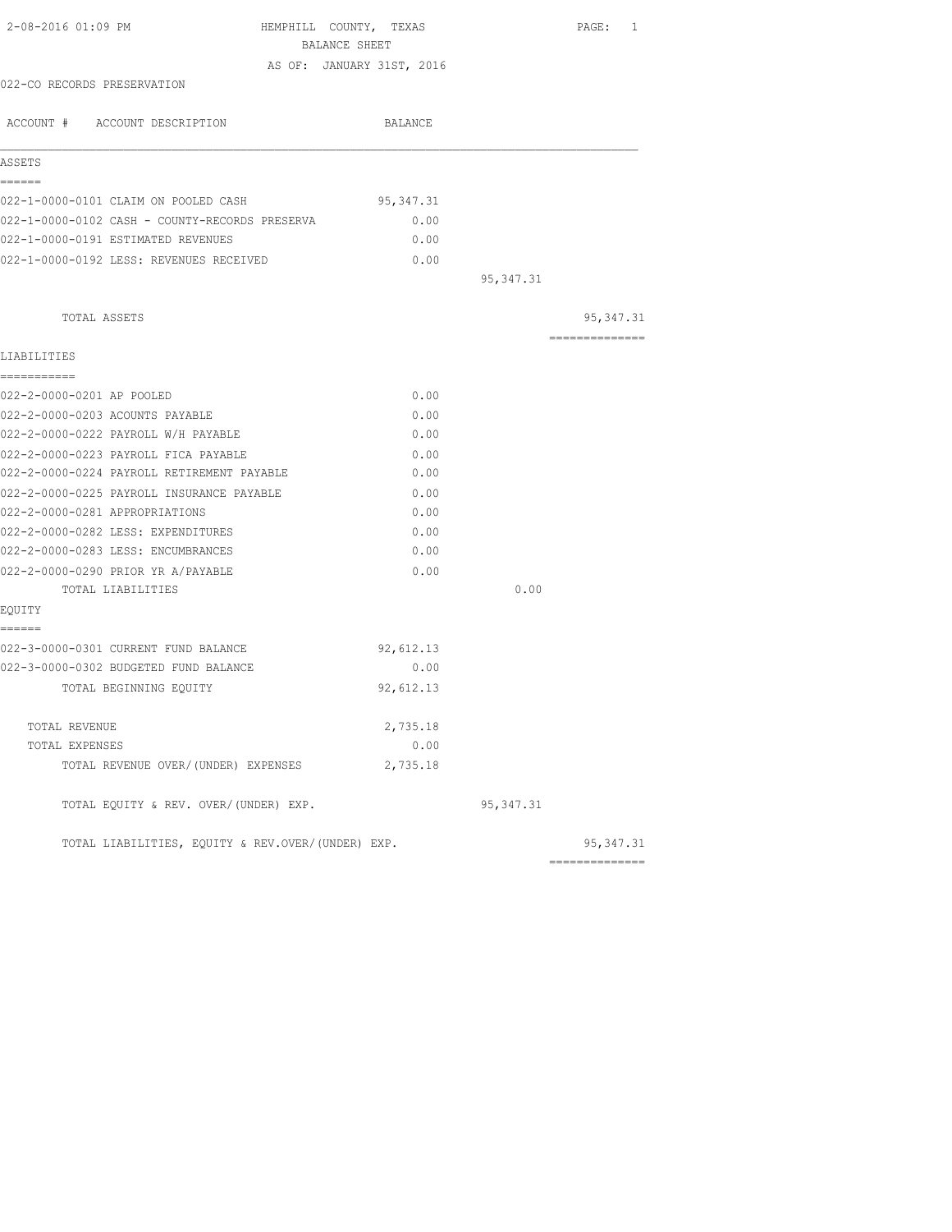| BALANCE SHEET                                     |                   |                |
|---------------------------------------------------|-------------------|----------------|
|                                                   |                   |                |
| AS OF: JANUARY 31ST, 2016                         |                   |                |
| 022-CO RECORDS PRESERVATION                       |                   |                |
| ACCOUNT # ACCOUNT DESCRIPTION                     | BALANCE           |                |
| ASSETS                                            |                   |                |
| ======<br>022-1-0000-0101 CLAIM ON POOLED CASH    | 95, 347.31        |                |
| 022-1-0000-0102 CASH - COUNTY-RECORDS PRESERVA    | 0.00              |                |
| 022-1-0000-0191 ESTIMATED REVENUES                | 0.00              |                |
| 022-1-0000-0192 LESS: REVENUES RECEIVED           | 0.00              |                |
|                                                   | 95, 347.31        |                |
| TOTAL ASSETS                                      |                   | 95, 347.31     |
| LIABILITIES                                       |                   | ============== |
| ------------                                      |                   |                |
| 022-2-0000-0201 AP POOLED                         | 0.00              |                |
| 022-2-0000-0203 ACOUNTS PAYABLE                   | 0.00              |                |
| 022-2-0000-0222 PAYROLL W/H PAYABLE               | 0.00              |                |
| 022-2-0000-0223 PAYROLL FICA PAYABLE              | 0.00              |                |
| 022-2-0000-0224 PAYROLL RETIREMENT PAYABLE        | 0.00              |                |
| 022-2-0000-0225 PAYROLL INSURANCE PAYABLE         | 0.00              |                |
| 022-2-0000-0281 APPROPRIATIONS                    | 0.00              |                |
| 022-2-0000-0282 LESS: EXPENDITURES                | 0.00              |                |
| 022-2-0000-0283 LESS: ENCUMBRANCES                | 0.00              |                |
| 022-2-0000-0290 PRIOR YR A/PAYABLE                | 0.00              |                |
| TOTAL LIABILITIES                                 | 0.00              |                |
| EQUITY                                            |                   |                |
| ======<br>022-3-0000-0301 CURRENT FUND BALANCE    |                   |                |
| 022-3-0000-0302 BUDGETED FUND BALANCE             | 92,612.13<br>0.00 |                |
| TOTAL BEGINNING EQUITY                            | 92,612.13         |                |
|                                                   |                   |                |
| TOTAL REVENUE                                     | 2,735.18          |                |
| TOTAL EXPENSES                                    | 0.00              |                |
| TOTAL REVENUE OVER/(UNDER) EXPENSES               | 2,735.18          |                |
| TOTAL EQUITY & REV. OVER/(UNDER) EXP.             | 95,347.31         |                |
| TOTAL LIABILITIES, EQUITY & REV.OVER/(UNDER) EXP. |                   | 95, 347.31     |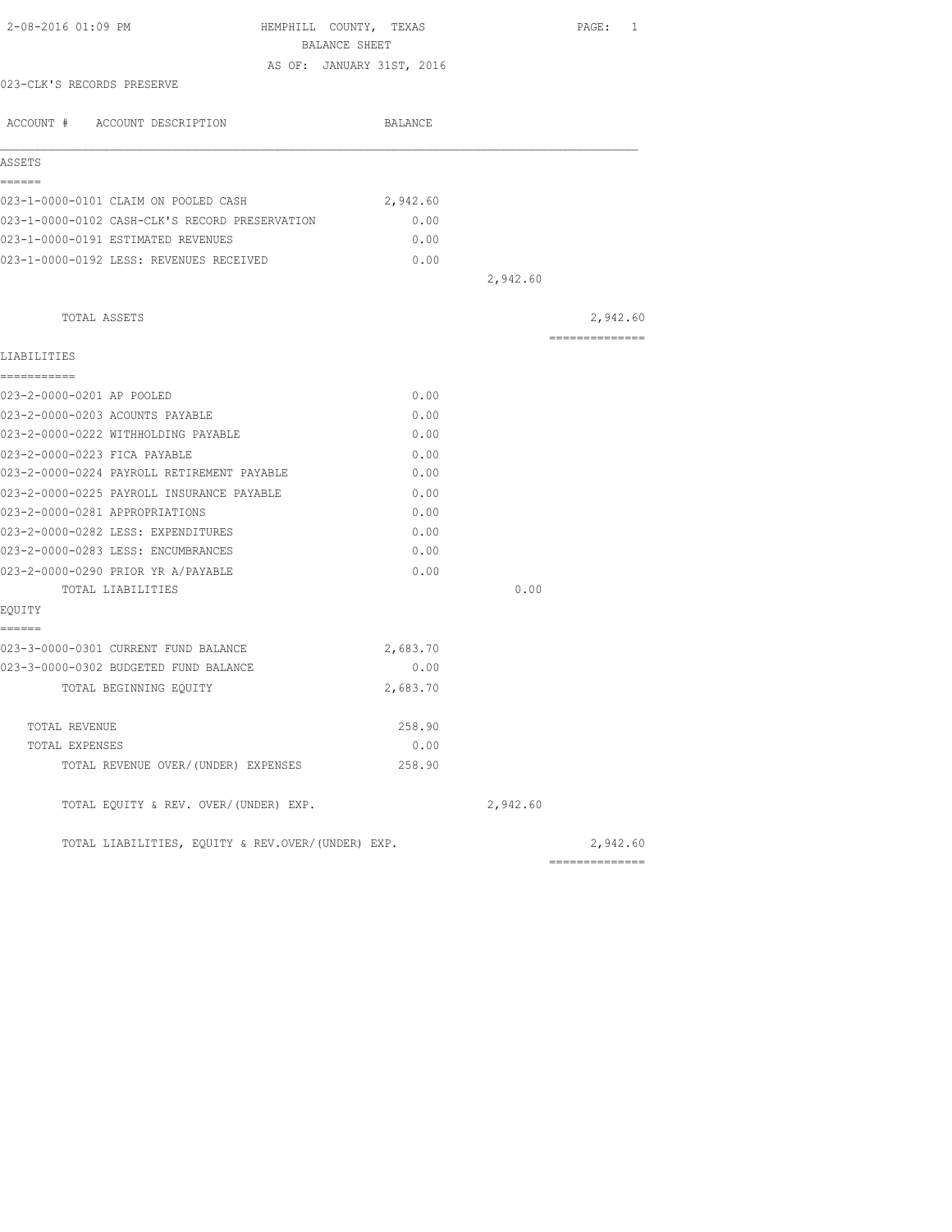|                                            |                                                                                                                                                               |                                                                 |                                                                                                                                                                                                                                                | PAGE: 1  |                                                                                 |
|--------------------------------------------|---------------------------------------------------------------------------------------------------------------------------------------------------------------|-----------------------------------------------------------------|------------------------------------------------------------------------------------------------------------------------------------------------------------------------------------------------------------------------------------------------|----------|---------------------------------------------------------------------------------|
|                                            |                                                                                                                                                               |                                                                 |                                                                                                                                                                                                                                                |          |                                                                                 |
|                                            |                                                                                                                                                               |                                                                 |                                                                                                                                                                                                                                                |          |                                                                                 |
|                                            |                                                                                                                                                               |                                                                 |                                                                                                                                                                                                                                                |          |                                                                                 |
|                                            |                                                                                                                                                               |                                                                 |                                                                                                                                                                                                                                                |          |                                                                                 |
|                                            |                                                                                                                                                               |                                                                 |                                                                                                                                                                                                                                                |          |                                                                                 |
|                                            |                                                                                                                                                               |                                                                 |                                                                                                                                                                                                                                                |          |                                                                                 |
|                                            |                                                                                                                                                               |                                                                 |                                                                                                                                                                                                                                                |          |                                                                                 |
|                                            |                                                                                                                                                               |                                                                 |                                                                                                                                                                                                                                                |          |                                                                                 |
|                                            |                                                                                                                                                               |                                                                 |                                                                                                                                                                                                                                                |          |                                                                                 |
|                                            |                                                                                                                                                               |                                                                 | 2,942.60                                                                                                                                                                                                                                       |          |                                                                                 |
|                                            |                                                                                                                                                               |                                                                 |                                                                                                                                                                                                                                                | 2,942.60 |                                                                                 |
|                                            |                                                                                                                                                               |                                                                 |                                                                                                                                                                                                                                                |          |                                                                                 |
|                                            |                                                                                                                                                               |                                                                 |                                                                                                                                                                                                                                                |          |                                                                                 |
|                                            |                                                                                                                                                               |                                                                 |                                                                                                                                                                                                                                                |          |                                                                                 |
|                                            |                                                                                                                                                               |                                                                 |                                                                                                                                                                                                                                                |          |                                                                                 |
|                                            |                                                                                                                                                               |                                                                 |                                                                                                                                                                                                                                                |          |                                                                                 |
| 023-2-0000-0222 WITHHOLDING PAYABLE        |                                                                                                                                                               |                                                                 |                                                                                                                                                                                                                                                |          |                                                                                 |
|                                            |                                                                                                                                                               |                                                                 |                                                                                                                                                                                                                                                |          |                                                                                 |
| 023-2-0000-0224 PAYROLL RETIREMENT PAYABLE |                                                                                                                                                               |                                                                 |                                                                                                                                                                                                                                                |          |                                                                                 |
| 023-2-0000-0225 PAYROLL INSURANCE PAYABLE  |                                                                                                                                                               |                                                                 |                                                                                                                                                                                                                                                |          |                                                                                 |
|                                            |                                                                                                                                                               |                                                                 |                                                                                                                                                                                                                                                |          |                                                                                 |
| 023-2-0000-0282 LESS: EXPENDITURES         |                                                                                                                                                               |                                                                 |                                                                                                                                                                                                                                                |          |                                                                                 |
| 023-2-0000-0283 LESS: ENCUMBRANCES         |                                                                                                                                                               |                                                                 |                                                                                                                                                                                                                                                |          |                                                                                 |
| 023-2-0000-0290 PRIOR YR A/PAYABLE         |                                                                                                                                                               |                                                                 |                                                                                                                                                                                                                                                |          |                                                                                 |
|                                            |                                                                                                                                                               |                                                                 | 0.00                                                                                                                                                                                                                                           |          |                                                                                 |
|                                            |                                                                                                                                                               |                                                                 |                                                                                                                                                                                                                                                |          |                                                                                 |
|                                            |                                                                                                                                                               |                                                                 |                                                                                                                                                                                                                                                |          |                                                                                 |
| 023-3-0000-0302 BUDGETED FUND BALANCE      |                                                                                                                                                               |                                                                 |                                                                                                                                                                                                                                                |          |                                                                                 |
|                                            |                                                                                                                                                               |                                                                 |                                                                                                                                                                                                                                                |          |                                                                                 |
|                                            |                                                                                                                                                               |                                                                 |                                                                                                                                                                                                                                                |          |                                                                                 |
|                                            |                                                                                                                                                               |                                                                 |                                                                                                                                                                                                                                                |          |                                                                                 |
| TOTAL REVENUE OVER/(UNDER) EXPENSES        |                                                                                                                                                               |                                                                 |                                                                                                                                                                                                                                                |          |                                                                                 |
| TOTAL EQUITY & REV. OVER/(UNDER) EXP.      |                                                                                                                                                               |                                                                 | 2,942.60                                                                                                                                                                                                                                       |          |                                                                                 |
|                                            |                                                                                                                                                               |                                                                 |                                                                                                                                                                                                                                                |          |                                                                                 |
|                                            | 023-1-0000-0101 CLAIM ON POOLED CASH<br>023-1-0000-0191 ESTIMATED REVENUES<br>023-1-0000-0192 LESS: REVENUES RECEIVED<br>023-3-0000-0301 CURRENT FUND BALANCE | BALANCE SHEET<br>023-1-0000-0102 CASH-CLK'S RECORD PRESERVATION | HEMPHILL COUNTY, TEXAS<br>AS OF: JANUARY 31ST, 2016<br>BALANCE<br>2,942.60<br>0.00<br>0.00<br>0.00<br>0.00<br>0.00<br>0.00<br>0.00<br>0.00<br>0.00<br>0.00<br>0.00<br>0.00<br>0.00<br>2,683.70<br>0.00<br>2,683.70<br>258.90<br>0.00<br>258.90 |          | ==============<br>2,942.60<br>TOTAL LIABILITIES, EQUITY & REV.OVER/(UNDER) EXP. |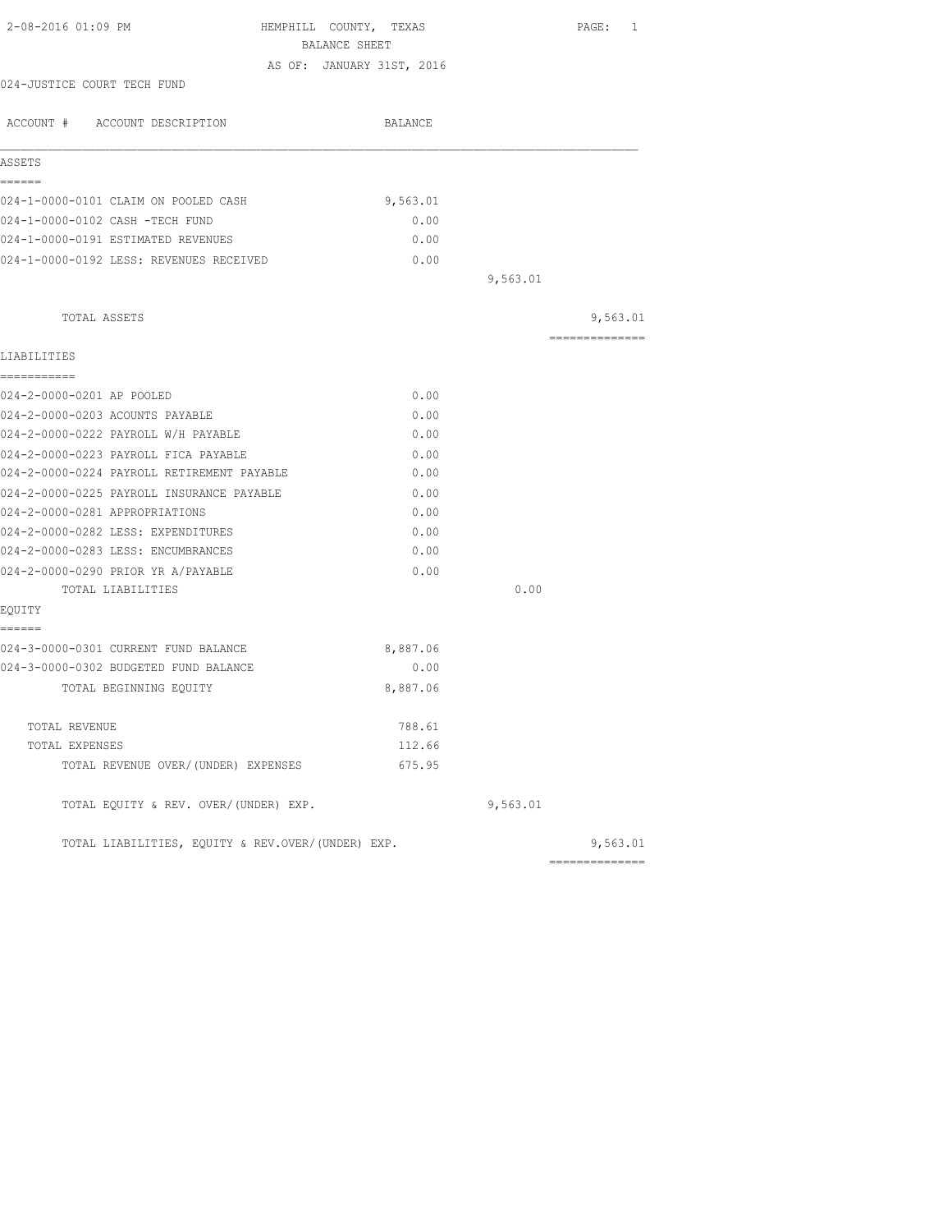| BALANCE SHEET                                     |                                  |                            |
|---------------------------------------------------|----------------------------------|----------------------------|
| AS OF: JANUARY 31ST, 2016                         |                                  |                            |
|                                                   |                                  |                            |
| BALANCE                                           |                                  |                            |
|                                                   |                                  |                            |
|                                                   |                                  |                            |
|                                                   |                                  |                            |
|                                                   |                                  |                            |
|                                                   |                                  |                            |
|                                                   |                                  |                            |
|                                                   |                                  |                            |
|                                                   |                                  | 9,563.01                   |
|                                                   |                                  | ---------------            |
|                                                   |                                  |                            |
| 0.00                                              |                                  |                            |
| 0.00                                              |                                  |                            |
| 0.00                                              |                                  |                            |
| 0.00                                              |                                  |                            |
| 0.00                                              |                                  |                            |
| 0.00                                              |                                  |                            |
| 0.00                                              |                                  |                            |
| 0.00                                              |                                  |                            |
| 0.00                                              |                                  |                            |
| 0.00                                              |                                  |                            |
|                                                   | 0.00                             |                            |
|                                                   |                                  |                            |
| 8,887.06                                          |                                  |                            |
| 0.00                                              |                                  |                            |
| 8,887.06                                          |                                  |                            |
| 788.61                                            |                                  |                            |
| 112.66                                            |                                  |                            |
| 675.95                                            |                                  |                            |
|                                                   | 9,563.01                         |                            |
| TOTAL LIABILITIES, EOUITY & REV.OVER/(UNDER) EXP. |                                  | 9,563.01                   |
|                                                   | 9,563.01<br>0.00<br>0.00<br>0.00 | 9,563.01<br>============== |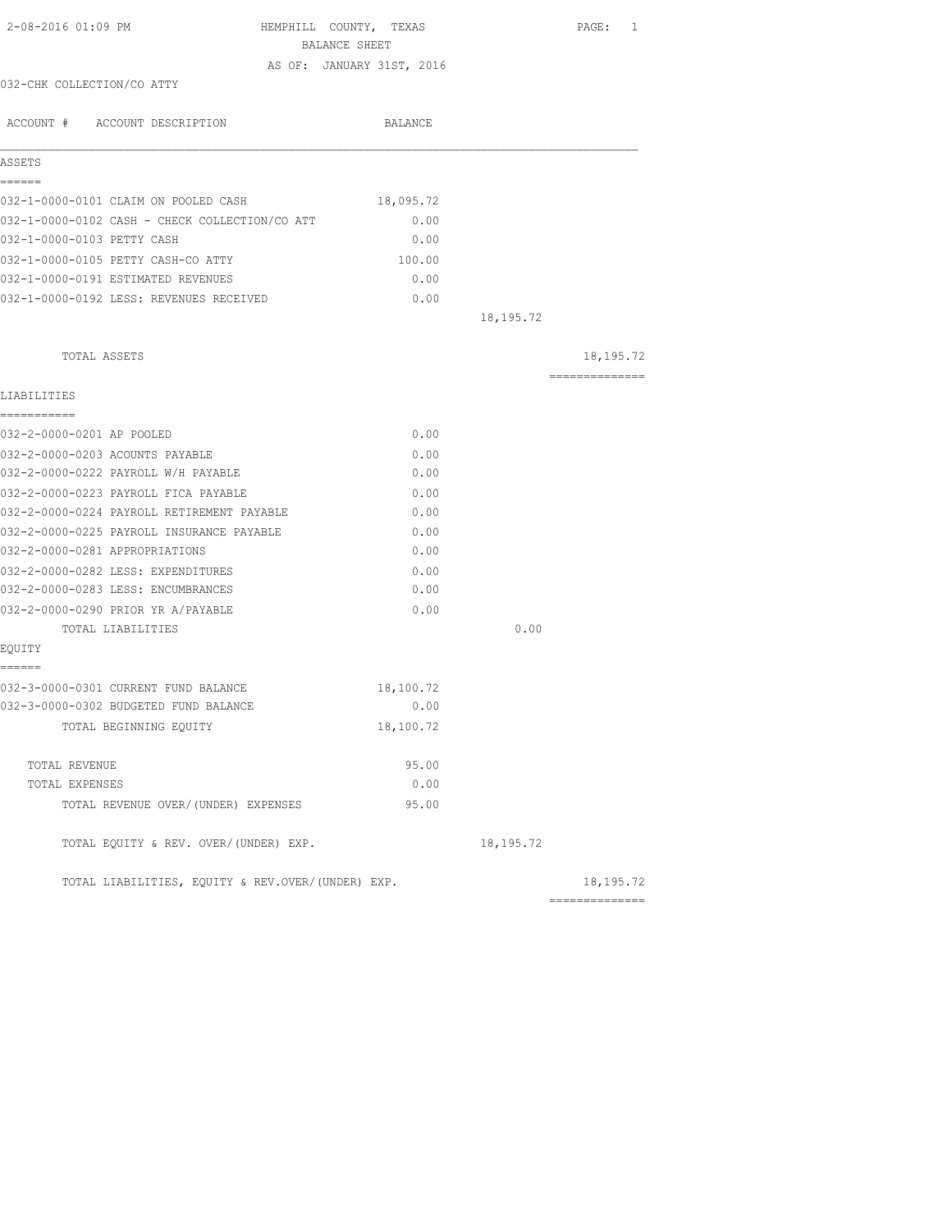| 2-08-2016 01:09 PM                                | HEMPHILL COUNTY, TEXAS<br>BALANCE SHEET |             | PAGE: 1        |
|---------------------------------------------------|-----------------------------------------|-------------|----------------|
|                                                   | AS OF: JANUARY 31ST, 2016               |             |                |
| 032-CHK COLLECTION/CO ATTY                        |                                         |             |                |
| ACCOUNT # ACCOUNT DESCRIPTION                     | BALANCE                                 |             |                |
| ASSETS                                            |                                         |             |                |
| ------                                            |                                         |             |                |
| 032-1-0000-0101 CLAIM ON POOLED CASH              | 18,095.72                               |             |                |
| 032-1-0000-0102 CASH - CHECK COLLECTION/CO ATT    | 0.00                                    |             |                |
| 032-1-0000-0103 PETTY CASH                        | 0.00                                    |             |                |
| 032-1-0000-0105 PETTY CASH-CO ATTY                | 100.00                                  |             |                |
| 032-1-0000-0191 ESTIMATED REVENUES                | 0.00                                    |             |                |
| 032-1-0000-0192 LESS: REVENUES RECEIVED           | 0.00                                    |             |                |
|                                                   |                                         | 18, 195. 72 |                |
| TOTAL ASSETS                                      |                                         |             | 18,195.72      |
| LIABILITIES                                       |                                         |             | -------------- |
| ===========<br>032-2-0000-0201 AP POOLED          | 0.00                                    |             |                |
| 032-2-0000-0203 ACOUNTS PAYABLE                   | 0.00                                    |             |                |
| 032-2-0000-0222 PAYROLL W/H PAYABLE               | 0.00                                    |             |                |
| 032-2-0000-0223 PAYROLL FICA PAYABLE              | 0.00                                    |             |                |
| 032-2-0000-0224 PAYROLL RETIREMENT PAYABLE        | 0.00                                    |             |                |
| 032-2-0000-0225 PAYROLL INSURANCE PAYABLE         | 0.00                                    |             |                |
| 032-2-0000-0281 APPROPRIATIONS                    | 0.00                                    |             |                |
| 032-2-0000-0282 LESS: EXPENDITURES                | 0.00                                    |             |                |
| 032-2-0000-0283 LESS: ENCUMBRANCES                | 0.00                                    |             |                |
| 032-2-0000-0290 PRIOR YR A/PAYABLE                | 0.00                                    |             |                |
| TOTAL LIABILITIES                                 |                                         | 0.00        |                |
| EQUITY                                            |                                         |             |                |
| ======                                            |                                         |             |                |
| 032-3-0000-0301 CURRENT FUND BALANCE              | 18,100.72                               |             |                |
| 032-3-0000-0302 BUDGETED FUND BALANCE             | 0.00                                    |             |                |
| TOTAL BEGINNING EQUITY                            | 18,100.72                               |             |                |
| TOTAL REVENUE                                     | 95.00                                   |             |                |
| TOTAL EXPENSES                                    | 0.00                                    |             |                |
| TOTAL REVENUE OVER/ (UNDER) EXPENSES              | 95.00                                   |             |                |
| TOTAL EQUITY & REV. OVER/(UNDER) EXP.             |                                         | 18, 195. 72 |                |
| TOTAL LIABILITIES, EQUITY & REV.OVER/(UNDER) EXP. |                                         |             | 18,195.72      |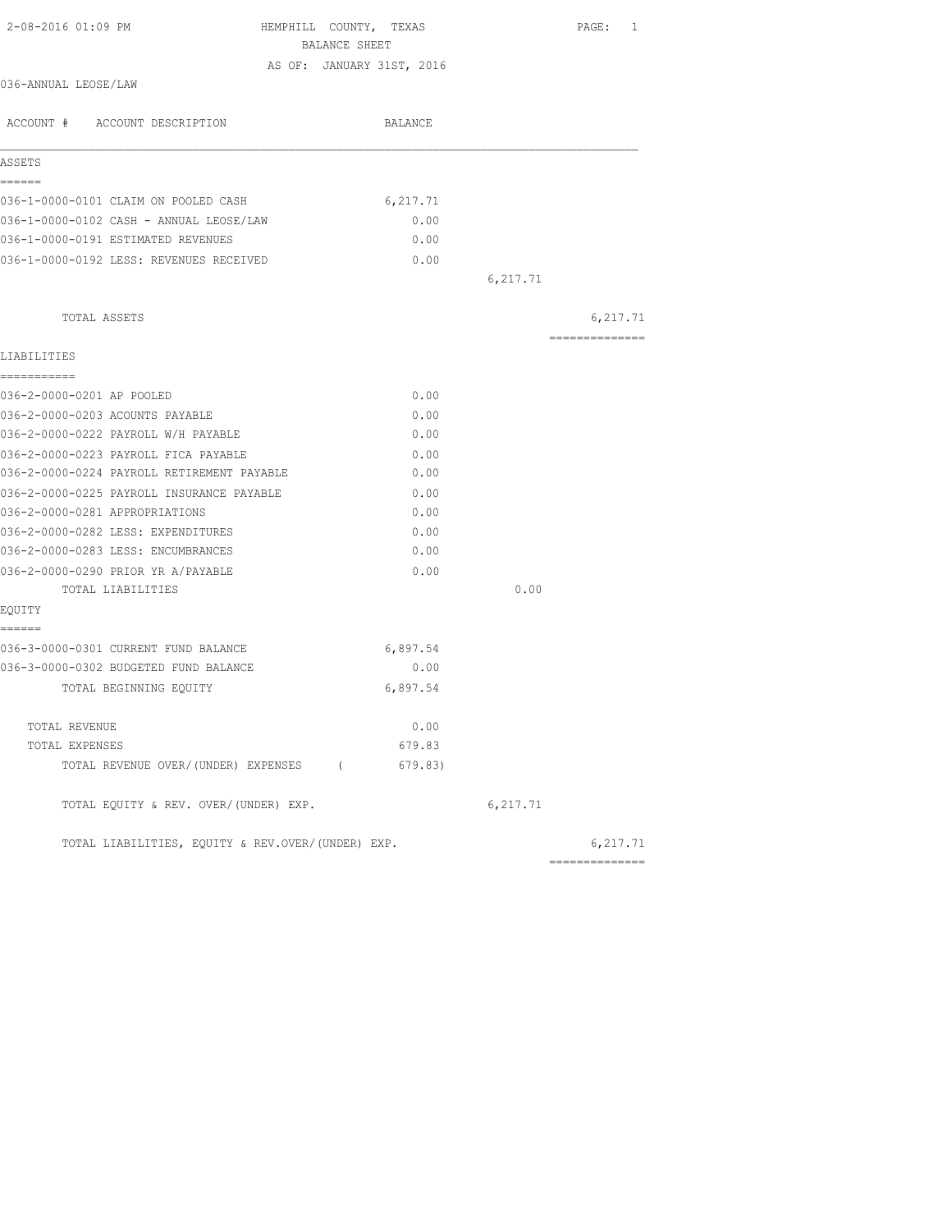| 2-08-2016 01:09 PM                                | HEMPHILL COUNTY, TEXAS<br>BALANCE SHEET |          | PAGE: 1         |
|---------------------------------------------------|-----------------------------------------|----------|-----------------|
|                                                   | AS OF: JANUARY 31ST, 2016               |          |                 |
| 036-ANNUAL LEOSE/LAW                              |                                         |          |                 |
| ACCOUNT # ACCOUNT DESCRIPTION                     | BALANCE                                 |          |                 |
| ASSETS                                            |                                         |          |                 |
| ------                                            |                                         |          |                 |
| 036-1-0000-0101 CLAIM ON POOLED CASH              | 6,217.71                                |          |                 |
| 036-1-0000-0102 CASH - ANNUAL LEOSE/LAW           | 0.00                                    |          |                 |
| 036-1-0000-0191 ESTIMATED REVENUES                | 0.00                                    |          |                 |
| 036-1-0000-0192 LESS: REVENUES RECEIVED           | 0.00                                    |          |                 |
|                                                   |                                         | 6,217.71 |                 |
| TOTAL ASSETS                                      |                                         |          | 6,217.71        |
| LIABILITIES                                       |                                         |          | --------------- |
| ------------                                      |                                         |          |                 |
| 036-2-0000-0201 AP POOLED                         | 0.00                                    |          |                 |
| 036-2-0000-0203 ACOUNTS PAYABLE                   | 0.00                                    |          |                 |
| 036-2-0000-0222 PAYROLL W/H PAYABLE               | 0.00                                    |          |                 |
| 036-2-0000-0223 PAYROLL FICA PAYABLE              | 0.00                                    |          |                 |
| 036-2-0000-0224 PAYROLL RETIREMENT PAYABLE        | 0.00                                    |          |                 |
| 036-2-0000-0225 PAYROLL INSURANCE PAYABLE         | 0.00                                    |          |                 |
| 036-2-0000-0281 APPROPRIATIONS                    | 0.00                                    |          |                 |
| 036-2-0000-0282 LESS: EXPENDITURES                | 0.00                                    |          |                 |
| 036-2-0000-0283 LESS: ENCUMBRANCES                | 0.00                                    |          |                 |
| 036-2-0000-0290 PRIOR YR A/PAYABLE                | 0.00                                    |          |                 |
| TOTAL LIABILITIES                                 |                                         | 0.00     |                 |
| EQUITY                                            |                                         |          |                 |
| ======<br>036-3-0000-0301 CURRENT FUND BALANCE    | 6,897.54                                |          |                 |
| 036-3-0000-0302 BUDGETED FUND BALANCE             | 0.00                                    |          |                 |
| TOTAL BEGINNING EQUITY                            | 6,897.54                                |          |                 |
|                                                   |                                         |          |                 |
| TOTAL REVENUE                                     | 0.00                                    |          |                 |
| TOTAL EXPENSES                                    | 679.83                                  |          |                 |
| TOTAL REVENUE OVER/(UNDER) EXPENSES (             | 679.83)                                 |          |                 |
| TOTAL EQUITY & REV. OVER/(UNDER) EXP.             |                                         | 6,217.71 |                 |
| TOTAL LIABILITIES, EQUITY & REV.OVER/(UNDER) EXP. |                                         |          | 6,217.71        |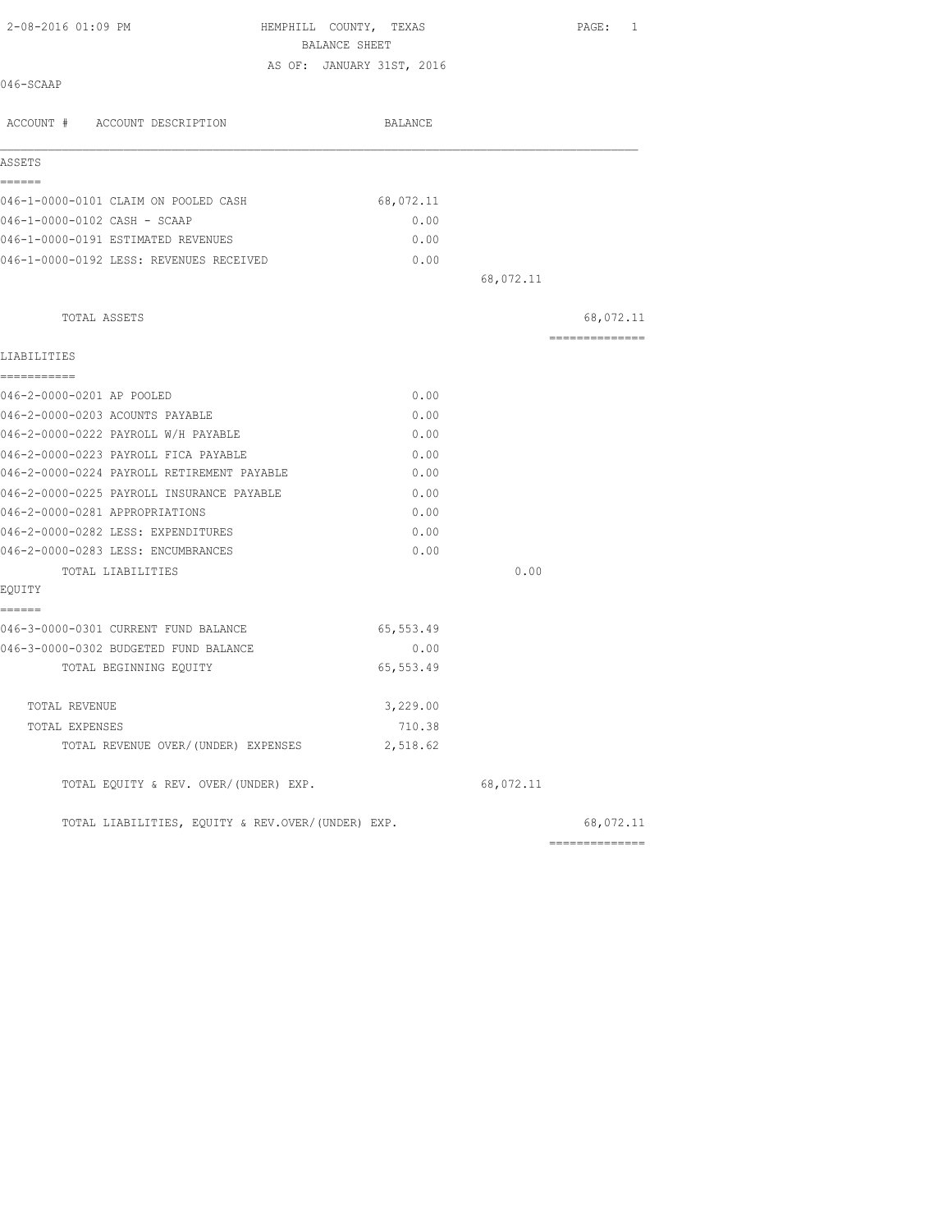| 2-08-2016 01:09 PM                                | HEMPHILL COUNTY, TEXAS<br>BALANCE SHEET |           | PAGE: 1         |
|---------------------------------------------------|-----------------------------------------|-----------|-----------------|
|                                                   | AS OF: JANUARY 31ST, 2016               |           |                 |
| 046-SCAAP                                         |                                         |           |                 |
| ACCOUNT # ACCOUNT DESCRIPTION                     | BALANCE                                 |           |                 |
| ASSETS                                            |                                         |           |                 |
| ======<br>046-1-0000-0101 CLAIM ON POOLED CASH    | 68,072.11                               |           |                 |
| 046-1-0000-0102 CASH - SCAAP                      | 0.00                                    |           |                 |
| 046-1-0000-0191 ESTIMATED REVENUES                | 0.00                                    |           |                 |
| 046-1-0000-0192 LESS: REVENUES RECEIVED           | 0.00                                    |           |                 |
|                                                   |                                         | 68,072.11 |                 |
| TOTAL ASSETS                                      |                                         |           | 68,072.11       |
| LIABILITIES                                       |                                         |           | =============== |
| -----------<br>046-2-0000-0201 AP POOLED          | 0.00                                    |           |                 |
| 046-2-0000-0203 ACOUNTS PAYABLE                   | 0.00                                    |           |                 |
| 046-2-0000-0222 PAYROLL W/H PAYABLE               | 0.00                                    |           |                 |
| 046-2-0000-0223 PAYROLL FICA PAYABLE              | 0.00                                    |           |                 |
| 046-2-0000-0224 PAYROLL RETIREMENT PAYABLE        | 0.00                                    |           |                 |
| 046-2-0000-0225 PAYROLL INSURANCE PAYABLE         | 0.00                                    |           |                 |
| 046-2-0000-0281 APPROPRIATIONS                    | 0.00                                    |           |                 |
| 046-2-0000-0282 LESS: EXPENDITURES                | 0.00                                    |           |                 |
| 046-2-0000-0283 LESS: ENCUMBRANCES                | 0.00                                    |           |                 |
| TOTAL LIABILITIES                                 |                                         | 0.00      |                 |
| EQUITY                                            |                                         |           |                 |
| ======<br>046-3-0000-0301 CURRENT FUND BALANCE    | 65,553.49                               |           |                 |
| 046-3-0000-0302 BUDGETED FUND BALANCE             | 0.00                                    |           |                 |
| TOTAL BEGINNING EQUITY                            | 65,553.49                               |           |                 |
| TOTAL REVENUE                                     | 3,229.00                                |           |                 |
| TOTAL EXPENSES                                    | 710.38                                  |           |                 |
| TOTAL REVENUE OVER/(UNDER) EXPENSES               | 2,518.62                                |           |                 |
| TOTAL EQUITY & REV. OVER/(UNDER) EXP.             |                                         | 68,072.11 |                 |
| TOTAL LIABILITIES, EQUITY & REV.OVER/(UNDER) EXP. |                                         |           | 68,072.11       |

==============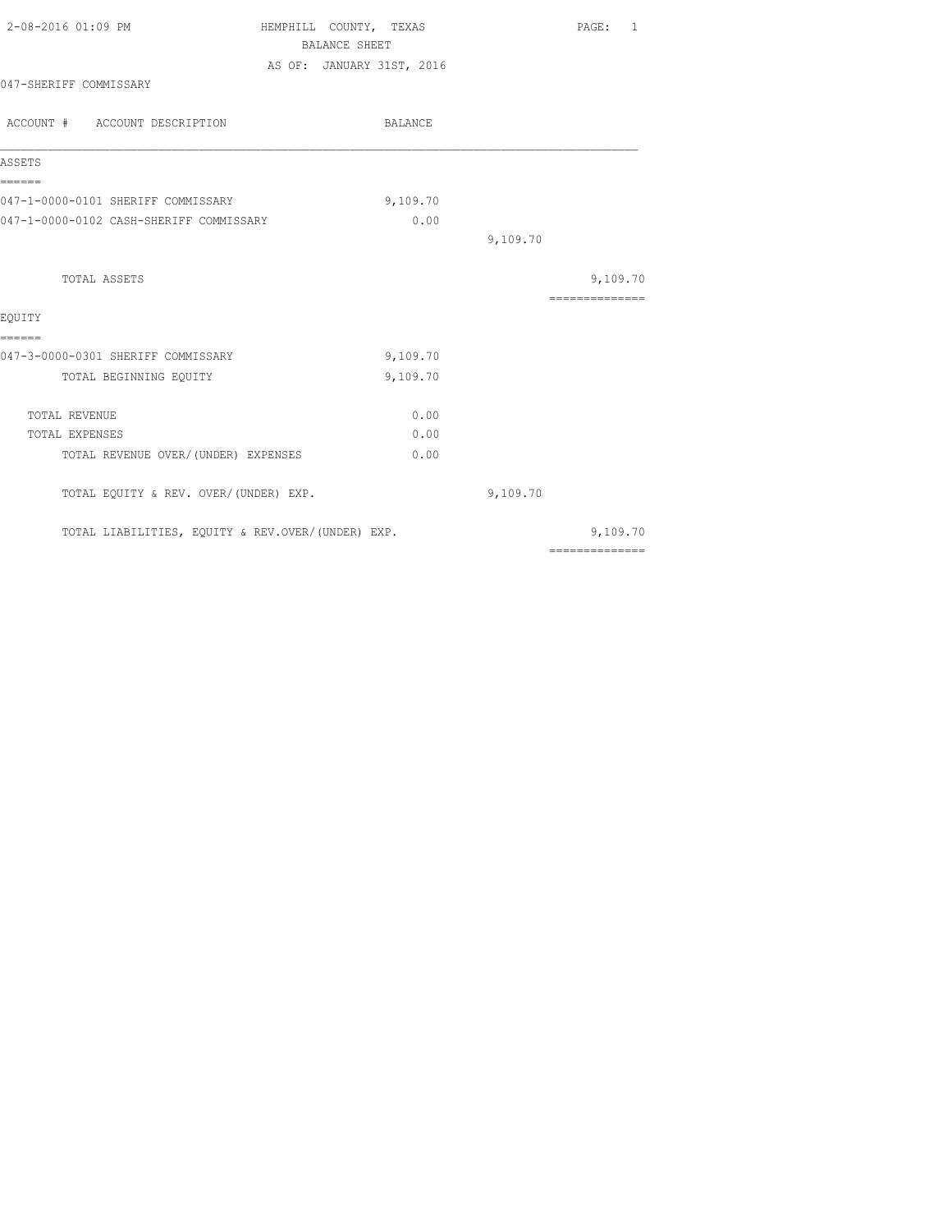| 2-08-2016 01:09 PM                                | HEMPHILL COUNTY, TEXAS<br>BALANCE SHEET |          | PAGE: 1                                                                                                                                                                                                                                                                                                                                                                                                                                                                                |
|---------------------------------------------------|-----------------------------------------|----------|----------------------------------------------------------------------------------------------------------------------------------------------------------------------------------------------------------------------------------------------------------------------------------------------------------------------------------------------------------------------------------------------------------------------------------------------------------------------------------------|
|                                                   | AS OF: JANUARY 31ST, 2016               |          |                                                                                                                                                                                                                                                                                                                                                                                                                                                                                        |
| 047-SHERIFF COMMISSARY                            |                                         |          |                                                                                                                                                                                                                                                                                                                                                                                                                                                                                        |
| ACCOUNT # ACCOUNT DESCRIPTION                     | BALANCE                                 |          |                                                                                                                                                                                                                                                                                                                                                                                                                                                                                        |
| ASSETS                                            |                                         |          |                                                                                                                                                                                                                                                                                                                                                                                                                                                                                        |
| ------<br>047-1-0000-0101 SHERIFF COMMISSARY      |                                         | 9,109.70 |                                                                                                                                                                                                                                                                                                                                                                                                                                                                                        |
| 047-1-0000-0102 CASH-SHERIFF COMMISSARY           |                                         | 0.00     |                                                                                                                                                                                                                                                                                                                                                                                                                                                                                        |
|                                                   |                                         |          | 9,109.70                                                                                                                                                                                                                                                                                                                                                                                                                                                                               |
| TOTAL ASSETS                                      |                                         |          | 9,109.70                                                                                                                                                                                                                                                                                                                                                                                                                                                                               |
|                                                   |                                         |          | $\begin{array}{cccccccccccccc} \multicolumn{2}{c}{} & \multicolumn{2}{c}{} & \multicolumn{2}{c}{} & \multicolumn{2}{c}{} & \multicolumn{2}{c}{} & \multicolumn{2}{c}{} & \multicolumn{2}{c}{} & \multicolumn{2}{c}{} & \multicolumn{2}{c}{} & \multicolumn{2}{c}{} & \multicolumn{2}{c}{} & \multicolumn{2}{c}{} & \multicolumn{2}{c}{} & \multicolumn{2}{c}{} & \multicolumn{2}{c}{} & \multicolumn{2}{c}{} & \multicolumn{2}{c}{} & \multicolumn{2}{c}{} & \multicolumn{2}{c}{} & \$ |
| EOUITY<br>======                                  |                                         |          |                                                                                                                                                                                                                                                                                                                                                                                                                                                                                        |
| 047-3-0000-0301 SHERIFF COMMISSARY                |                                         | 9,109.70 |                                                                                                                                                                                                                                                                                                                                                                                                                                                                                        |
| TOTAL BEGINNING EQUITY                            |                                         | 9,109.70 |                                                                                                                                                                                                                                                                                                                                                                                                                                                                                        |
| TOTAL REVENUE                                     |                                         | 0.00     |                                                                                                                                                                                                                                                                                                                                                                                                                                                                                        |
| TOTAL EXPENSES                                    |                                         | 0.00     |                                                                                                                                                                                                                                                                                                                                                                                                                                                                                        |
| TOTAL REVENUE OVER/(UNDER) EXPENSES               |                                         | 0.00     |                                                                                                                                                                                                                                                                                                                                                                                                                                                                                        |
| TOTAL EQUITY & REV. OVER/(UNDER) EXP.             |                                         |          | 9,109.70                                                                                                                                                                                                                                                                                                                                                                                                                                                                               |
| TOTAL LIABILITIES, EQUITY & REV.OVER/(UNDER) EXP. |                                         |          | 9,109.70                                                                                                                                                                                                                                                                                                                                                                                                                                                                               |
|                                                   |                                         |          | $\begin{array}{cccccccccccccc} \multicolumn{2}{c}{} & \multicolumn{2}{c}{} & \multicolumn{2}{c}{} & \multicolumn{2}{c}{} & \multicolumn{2}{c}{} & \multicolumn{2}{c}{} & \multicolumn{2}{c}{} & \multicolumn{2}{c}{} & \multicolumn{2}{c}{} & \multicolumn{2}{c}{} & \multicolumn{2}{c}{} & \multicolumn{2}{c}{} & \multicolumn{2}{c}{} & \multicolumn{2}{c}{} & \multicolumn{2}{c}{} & \multicolumn{2}{c}{} & \multicolumn{2}{c}{} & \multicolumn{2}{c}{} & \multicolumn{2}{c}{} & \$ |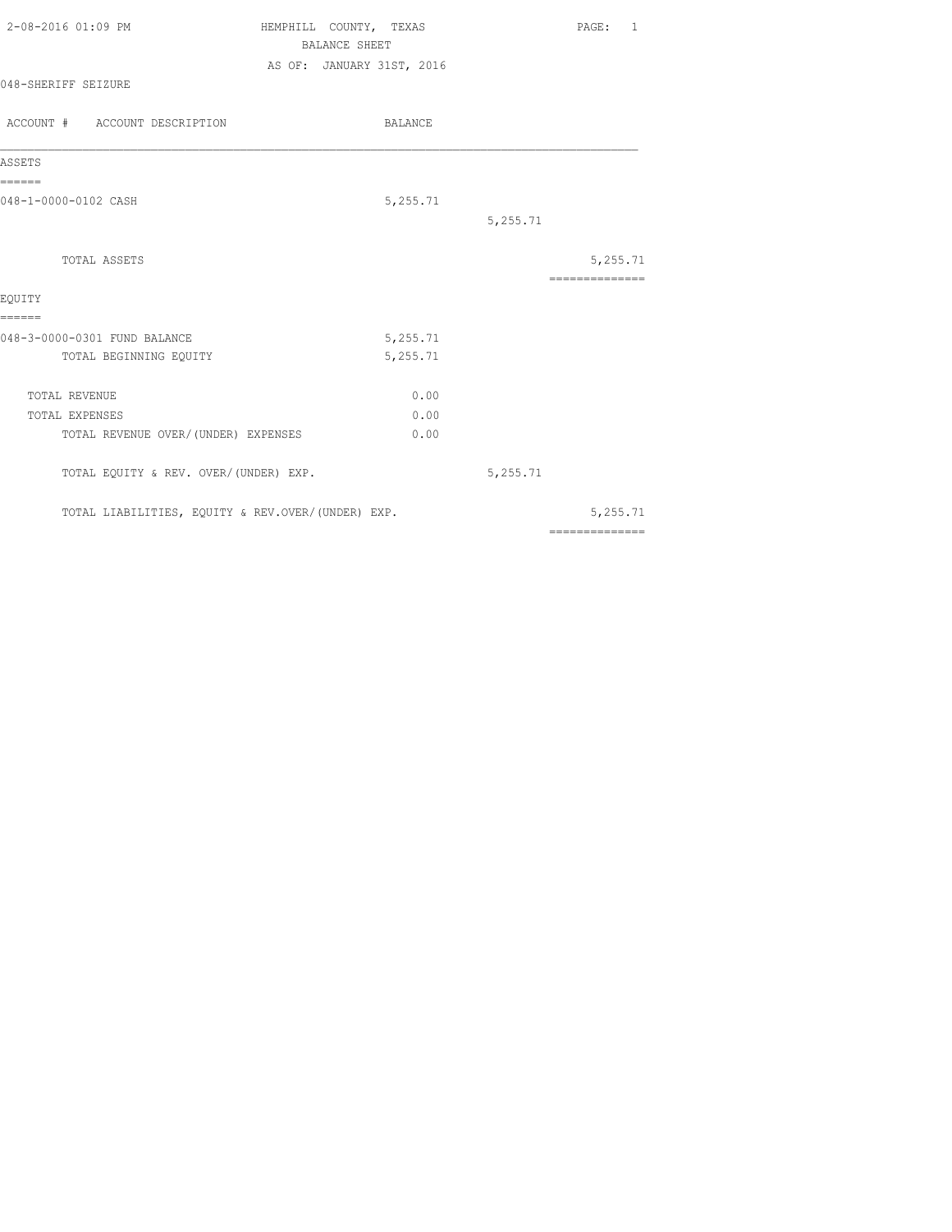| 2-08-2016 01:09 PM            | HEMPHILL COUNTY, TEXAS<br>BALANCE SHEET |          | PAGE: 1        |  |
|-------------------------------|-----------------------------------------|----------|----------------|--|
| 048-SHERIFF SEIZURE           | AS OF: JANUARY 31ST, 2016               |          |                |  |
| ACCOUNT # ACCOUNT DESCRIPTION | BALANCE                                 |          |                |  |
| ASSETS                        |                                         |          |                |  |
| ======                        |                                         |          |                |  |
| 048-1-0000-0102 CASH          | 5,255.71                                |          |                |  |
|                               |                                         | 5,255.71 |                |  |
| TOTAL ASSETS                  |                                         |          | 5,255.71       |  |
| EQUITY                        |                                         |          | -------------- |  |
| ======                        |                                         |          |                |  |
| 048-3-0000-0301 FUND BALANCE  | 5,255.71                                |          |                |  |

| TOTAL BEGINNING EOUITY |                                                   | 5,255.71 |              |
|------------------------|---------------------------------------------------|----------|--------------|
| TOTAL REVENUE          |                                                   | 0.00     |              |
| TOTAL EXPENSES         |                                                   | 0.00     |              |
|                        | TOTAL REVENUE OVER/(UNDER) EXPENSES               | 0.00     |              |
|                        | TOTAL EQUITY & REV. OVER/(UNDER) EXP.             |          | 5,255.71     |
|                        | TOTAL LIABILITIES, EQUITY & REV.OVER/(UNDER) EXP. |          | 5,255.71     |
|                        |                                                   |          | ------------ |